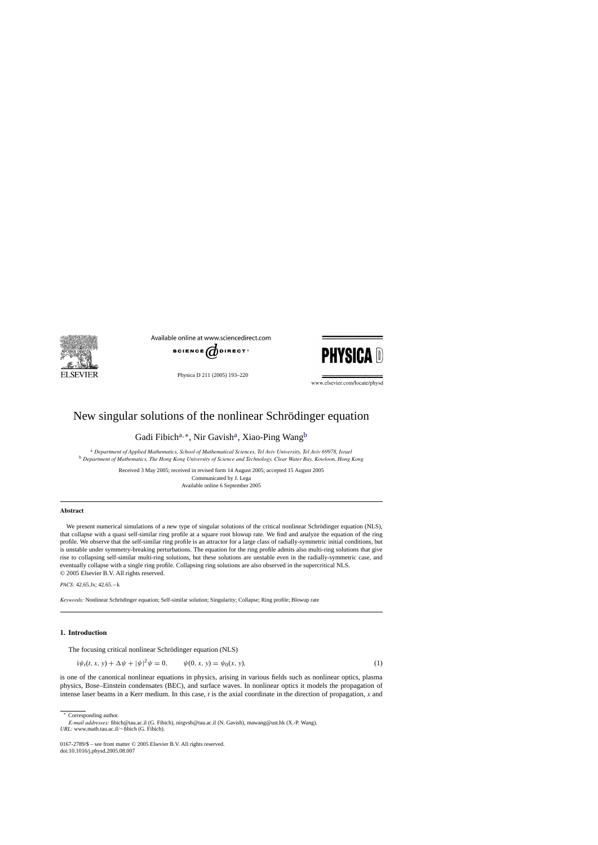<span id="page-0-0"></span>

Available online at www.sciencedirect.com



Physica D 211 (2005) 193–220



www.elsevier.com/locate/physd

# New singular solutions of the nonlinear Schrödinger equation

Gadi Fibich<sup>a,∗</sup>, Nir Gavish<sup>a</sup>, Xiao-Ping Wang<sup>b</sup>

<sup>a</sup> *Department of Applied Mathematics, School of Mathematical Sciences, Tel Aviv University, Tel Aviv 69978, Israel* <sup>b</sup> *Department of Mathematics, The Hong Kong University of Science and Technology, Clear Water Bay, Kowloon, Hong Kong*

> Received 3 May 2005; received in revised form 14 August 2005; accepted 15 August 2005 Communicated by J. Lega Available online 6 September 2005

#### **Abstract**

We present numerical simulations of a new type of singular solutions of the critical nonlinear Schrödinger equation (NLS), that collapse with a quasi self-similar ring profile at a square root blowup rate. We find and analyze the equation of the ring profile. We observe that the self-similar ring profile is an attractor for a large class of radially-symmetric initial conditions, but is unstable under symmetry-breaking perturbations. The equation for the ring profile admits also multi-ring solutions that give rise to collapsing self-similar multi-ring solutions, but these solutions are unstable even in the radially-symmetric case, and eventually collapse with a single ring profile. Collapsing ring solutions are also observed in the supercritical NLS. © 2005 Elsevier B.V. All rights reserved.

*PACS:* 42.65.Jx; 42.65.−k

*Keywords:* Nonlinear Schrödinger equation; Self-similar solution; Singularity; Collapse; Ring profile; Blowup rate

#### **1. Introduction**

The focusing critical nonlinear Schrödinger equation (NLS)

$$
i\psi_t(t, x, y) + \Delta \psi + |\psi|^2 \psi = 0, \qquad \psi(0, x, y) = \psi_0(x, y), \tag{1}
$$

is one of the canonical nonlinear equations in physics, arising in various fields such as nonlinear optics, plasma physics, Bose–Einstein condensates (BEC), and surface waves. In nonlinear optics it models the propagation of intense laser beams in a Kerr medium. In this case, *t* is the axial coordinate in the direction of propagation, *x* and

<sup>∗</sup> Corresponding author.

*E-mail addresses:* fibich@tau.ac.il (G. Fibich), nirgvsh@tau.ac.il (N. Gavish), mawang@ust.hk (X.-P. Wang). *URL:* www.math.tau.ac.il/∼fibich (G. Fibich).

<sup>0167-2789/\$ –</sup> see front matter © 2005 Elsevier B.V. All rights reserved. doi:10.1016/j.physd.2005.08.007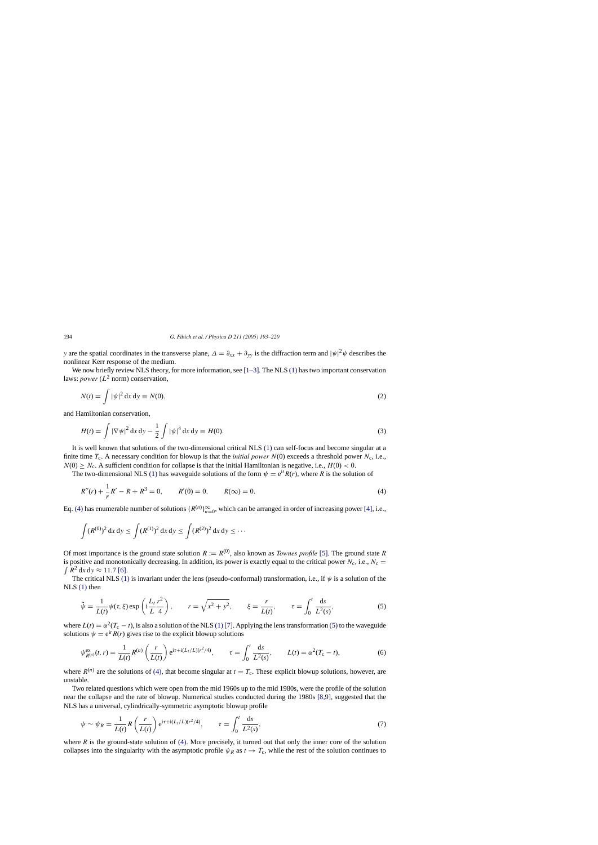<span id="page-1-0"></span>*y* are the spatial coordinates in the transverse plane,  $\Delta = \partial_{xx} + \partial_{yy}$  is the diffraction term and  $|\psi|^2 \psi$  describes the nonlinear Kerr response of the medium.

We now briefly review NLS theory, for more information, see  $[1-3]$ . The NLS [\(1\)](#page-0-0) has two important conservation laws: *power*  $(L^2 \text{ norm})$  conservation.

$$
N(t) = \int |\psi|^2 dx dy \equiv N(0),\tag{2}
$$

and Hamiltonian conservation,

$$
H(t) = \int |\nabla \psi|^2 dx dy - \frac{1}{2} \int |\psi|^4 dx dy \equiv H(0).
$$
 (3)

It is well known that solutions of the two-dimensional critical NLS [\(1\)](#page-0-0) can self-focus and become singular at a finite time  $T_c$ . A necessary condition for blowup is that the *initial power*  $N(0)$  exceeds a threshold power  $N_c$ , i.e.,  $N(0) \ge N_c$ . A sufficient condition for collapse is that the initial Hamiltonian is negative, i.e.,  $H(0) < 0$ .

The two-dimensional NLS [\(1\)](#page-0-0) has waveguide solutions of the form  $\psi = e^{it} R(r)$ , where R is the solution of

$$
R''(r) + \frac{1}{r}R' - R + R^3 = 0, \qquad R'(0) = 0, \qquad R(\infty) = 0.
$$
 (4)

Eq. (4) has enumerable number of solutions  $\{R^{(n)}\}_{n=0}^{\infty}$ , which can be arranged in order of increasing power [\[4\],](#page-26-0) i.e.,

$$
\int (R^{(0)})^2 dx dy \le \int (R^{(1)})^2 dx dy \le \int (R^{(2)})^2 dx dy \le \cdots
$$

Of most importance is the ground state solution  $R := R^{(0)}$ , also known as *Townes profile* [\[5\].](#page-26-0) The ground state *R* is positive and monotonically decreasing. In addition, its power is exactly equal to the critical power  $N_c$ , i.e.,  $N_c =$  $\int R^2 dx dy \approx 11.7$  [\[6\].](#page-26-0)

The critical NLS [\(1\)](#page-0-0) is invariant under the lens (pseudo-conformal) transformation, i.e., if  $\psi$  is a solution of the NLS [\(1\)](#page-0-0) then

$$
\tilde{\psi} = \frac{1}{L(t)} \psi(\tau, \xi) \exp\left(i\frac{L_t}{L}\frac{r^2}{4}\right), \qquad r = \sqrt{x^2 + y^2}, \qquad \xi = \frac{r}{L(t)}, \qquad \tau = \int_0^t \frac{ds}{L^2(s)},\tag{5}
$$

where  $L(t) = \alpha^2(T_c - t)$ , is also a solution of the NLS [\(1\)](#page-0-0) [\[7\]. A](#page-26-0)pplying the lens transformation (5) to the waveguide solutions  $\psi = e^{it} R(r)$  gives rise to the explicit blowup solutions

$$
\psi_{R^{(n)}}^{\text{ex}}(t,r) = \frac{1}{L(t)} R^{(n)}\left(\frac{r}{L(t)}\right) e^{i\tau + i(L_t/L)(r^2/4)}, \qquad \tau = \int_0^t \frac{ds}{L^2(s)}, \qquad L(t) = \alpha^2 (T_c - t),
$$
\n(6)

where  $R^{(n)}$  are the solutions of (4), that become singular at  $t = T_c$ . These explicit blowup solutions, however, are unstable.

Two related questions which were open from the mid 1960s up to the mid 1980s, were the profile of the solution near the collapse and the rate of blowup. Numerical studies conducted during the 1980s [\[8,9\],](#page-26-0) suggested that the NLS has a universal, cylindrically-symmetric asymptotic blowup profile

$$
\psi \sim \psi_R = \frac{1}{L(t)} R\left(\frac{r}{L(t)}\right) e^{i\tau + i(L_t/L)(r^2/4)}, \qquad \tau = \int_0^t \frac{ds}{L^2(s)},\tag{7}
$$

where  $R$  is the ground-state solution of (4). More precisely, it turned out that only the inner core of the solution collapses into the singularity with the asymptotic profile  $\psi_R$  as  $t \to T_c$ , while the rest of the solution continues to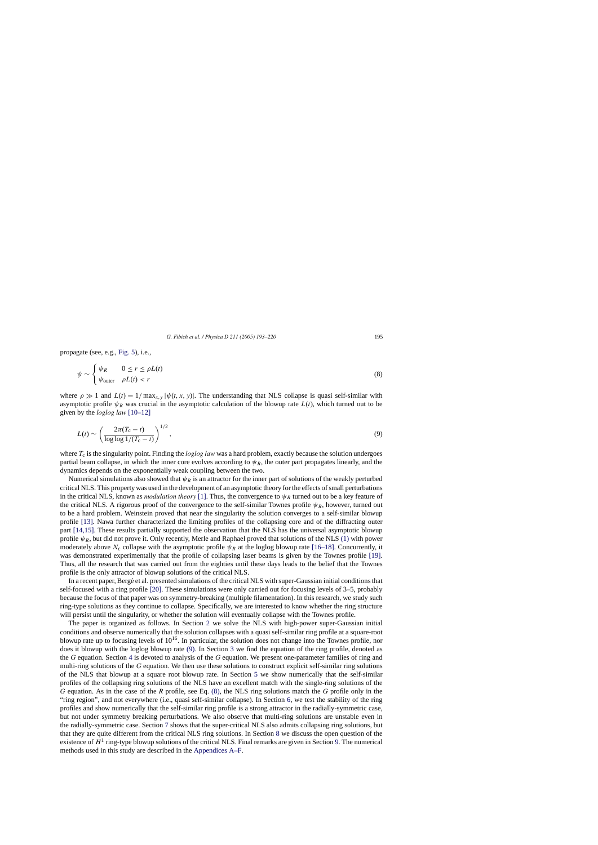<span id="page-2-0"></span>propagate (see, e.g., [Fig. 5\),](#page-5-0) i.e.,

$$
\psi \sim \begin{cases} \psi_R & 0 \le r \le \rho L(t) \\ \psi_{\text{outer}} & \rho L(t) < r \end{cases} \tag{8}
$$

where  $\rho \gg 1$  and  $L(t) = 1/\max_{x,y} |\psi(t, x, y)|$ . The understanding that NLS collapse is quasi self-similar with asymptotic profile  $\psi_R$  was crucial in the asymptotic calculation of the blowup rate  $L(t)$ , which turned out to be given by the *loglog law* [\[10–12\]](#page-26-0)

$$
L(t) \sim \left(\frac{2\pi(T_{\rm c}-t)}{\log\log 1/(T_{\rm c}-t)}\right)^{1/2},\tag{9}
$$

where  $T_c$  is the singularity point. Finding the *loglog law* was a hard problem, exactly because the solution undergoes partial beam collapse, in which the inner core evolves according to  $\psi_R$ , the outer part propagates linearly, and the dynamics depends on the exponentially weak coupling between the two.

Numerical simulations also showed that  $\psi_R$  is an attractor for the inner part of solutions of the weakly perturbed critical NLS. This property was used in the development of an asymptotic theory for the effects of small perturbations in the critical NLS, known as *modulation theory* [\[1\].](#page-26-0) Thus, the convergence to  $\psi_R$  turned out to be a key feature of the critical NLS. A rigorous proof of the convergence to the self-similar Townes profile  $\psi_R$ , however, turned out to be a hard problem. Weinstein proved that near the singularity the solution converges to a self-similar blowup profile [\[13\].](#page-26-0) Nawa further characterized the limiting profiles of the collapsing core and of the diffracting outer part [\[14,15\].](#page-26-0) These results partially supported the observation that the NLS has the universal asymptotic blowup profile  $\psi_R$ , but did not prove it. Only recently, Merle and Raphael proved that solutions of the NLS [\(1\)](#page-0-0) with power moderately above  $N_c$  collapse with the asymptotic profile  $\psi_R$  at the loglog blowup rate [\[16–18\].](#page-26-0) Concurrently, it was demonstrated experimentally that the profile of collapsing laser beams is given by the Townes profile [\[19\].](#page-26-0) Thus, all the research that was carried out from the eighties until these days leads to the belief that the Townes profile is the only attractor of blowup solutions of the critical NLS.

In a recent paper, Bergé et al. presented simulations of the critical NLS with super-Gaussian initial conditions that self-focused with a ring profile [\[20\].](#page-26-0) These simulations were only carried out for focusing levels of 3–5, probably because the focus of that paper was on symmetry-breaking (multiple filamentation). In this research, we study such ring-type solutions as they continue to collapse. Specifically, we are interested to know whether the ring structure will persist until the singularity, or whether the solution will eventually collapse with the Townes profile.

The paper is organized as follows. In Section [2](#page-3-0) we solve the NLS with high-power super-Gaussian initial conditions and observe numerically that the solution collapses with a quasi self-similar ring profile at a square-root blowup rate up to focusing levels of  $10^{16}$ . In particular, the solution does not change into the Townes profile, nor does it blowup with the loglog blowup rate (9). In Section [3](#page-5-0) we find the equation of the ring profile, denoted as the *G* equation. Section [4](#page-8-0) is devoted to analysis of the *G* equation. We present one-parameter families of ring and multi-ring solutions of the *G* equation. We then use these solutions to construct explicit self-similar ring solutions of the NLS that blowup at a square root blowup rate. In Section [5](#page-12-0) we show numerically that the self-similar profiles of the collapsing ring solutions of the NLS have an excellent match with the single-ring solutions of the *G* equation. As in the case of the *R* profile, see Eq. (8), the NLS ring solutions match the *G* profile only in the "ring region", and not everywhere (i.e., quasi self-similar collapse). In Section [6,](#page-16-0) we test the stability of the ring profiles and show numerically that the self-similar ring profile is a strong attractor in the radially-symmetric case, but not under symmetry breaking perturbations. We also observe that multi-ring solutions are unstable even in the radially-symmetric case. Section [7](#page-20-0) shows that the super-critical NLS also admits collapsing ring solutions, but that they are quite different from the critical NLS ring solutions. In Section [8](#page-21-0) we discuss the open question of the existence of  $H<sup>1</sup>$  ring-type blowup solutions of the critical NLS. Final remarks are given in Section [9. T](#page-22-0)he numerical methods used in this study are described in the [Appendices A–F.](#page-23-0)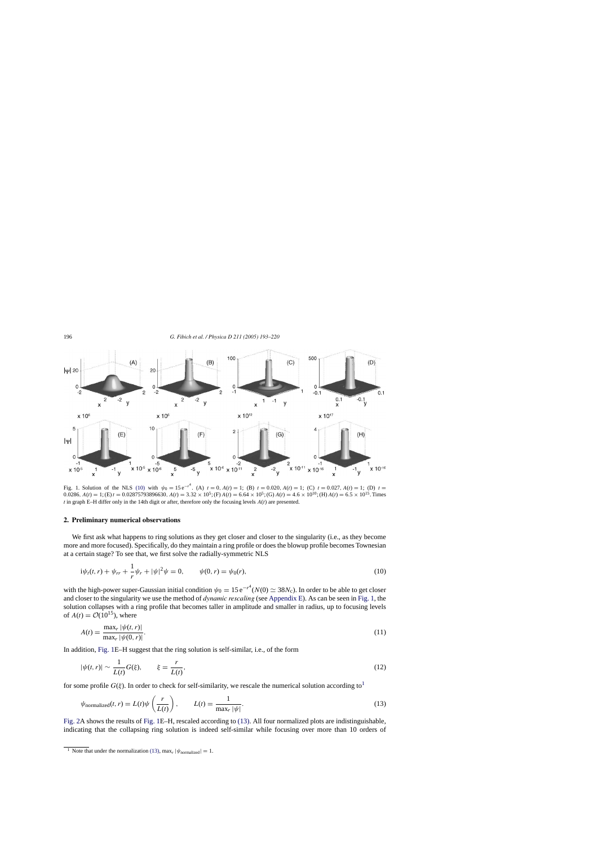

Fig. 1. Solution of the NLS (10) with  $\psi_0 = 15 e^{-t^4}$ . (A)  $t = 0$ ,  $A(t) = 1$ ; (B)  $t = 0.020$ ,  $A(t) = 1$ ; (C)  $t = 0.027$ ,  $A(t) = 1$ ; (D)  $t =$ 0.0286,  $A(t) = 1$ ; (E)  $t = 0.02875793896630$ ,  $A(t) = 3.32 \times 10^5$ ; (F)  $A(t) = 6.64 \times 10^5$ ; (G)  $A(t) = 4.6 \times 10^{10}$ ; (H)  $A(t) = 6.5 \times 10^{15}$ . Times  $t$  in graph E–H differ only in the 14th digit or after, therefore only the focusing levels  $A(t)$  are presented.

#### **2. Preliminary numerical observations**

We first ask what happens to ring solutions as they get closer and closer to the singularity (i.e., as they become more and more focused). Specifically, do they maintain a ring profile or does the blowup profile becomes Townesian at a certain stage? To see that, we first solve the radially-symmetric NLS

$$
i\psi_t(t,r) + \psi_{rr} + \frac{1}{r}\psi_r + |\psi|^2\psi = 0, \qquad \psi(0,r) = \psi_0(r), \tag{10}
$$

with the high-power super-Gaussian initial condition  $\psi_0 = 15 e^{-r^4} (N(0) \simeq 38 N_c)$ . In order to be able to get closer and closer to the singularity we use the method of *dynamic rescaling* (see [Appendix E\).](#page-25-0) As can be seen in Fig. 1, the solution collapses with a ring profile that becomes taller in amplitude and smaller in radius, up to focusing levels of  $A(t) = \mathcal{O}(10^{15})$ , where

$$
A(t) = \frac{\max_{r} |\psi(t, r)|}{\max_{r} |\psi(0, r)|}.
$$
 (11)

In addition, Fig. 1E–H suggest that the ring solution is self-similar, i.e., of the form

$$
|\psi(t,r)| \sim \frac{1}{L(t)} G(\xi), \qquad \xi = \frac{r}{L(t)},\tag{12}
$$

for some profile  $G(\xi)$ . In order to check for self-similarity, we rescale the numerical solution according to<sup>1</sup>

$$
\psi_{\text{normalized}}(t, r) = L(t)\psi\left(\frac{r}{L(t)}\right), \qquad L(t) = \frac{1}{\max_{r}|\psi|}.
$$
\n(13)

[Fig. 2A](#page-4-0) shows the results of Fig. 1E–H, rescaled according to (13). All four normalized plots are indistinguishable, indicating that the collapsing ring solution is indeed self-similar while focusing over more than 10 orders of

<span id="page-3-0"></span>

<sup>&</sup>lt;sup>1</sup> Note that under the normalization (13), max<sub>r</sub>  $|\psi_{\text{normalized}}| = 1$ .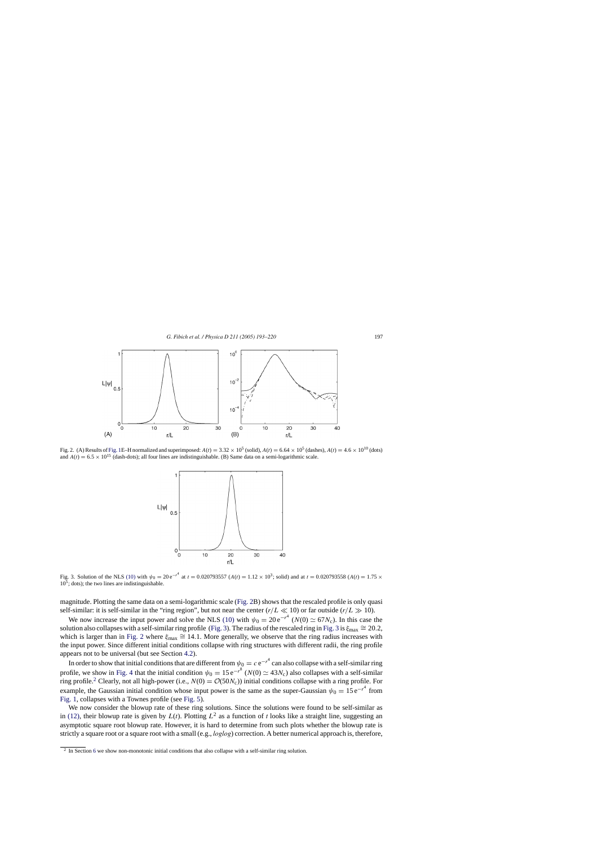<span id="page-4-0"></span>

Fig. 2. (A) Results of [Fig. 1E–](#page-3-0)H normalized and superimposed:  $A(t) = 3.32 \times 10^5$  (solid),  $A(t) = 6.64 \times 10^5$  (dashes),  $A(t) = 4.6 \times 10^{10}$  (dots) and  $A(t) = 6.5 \times 10^{15}$  (dash-dots); all four lines are indistinguishable. (B) Same data on a semi-logarithmic scale.



Fig. 3. Solution of the NLS [\(10\)](#page-3-0) with  $\psi_0 = 20 e^{-r^4}$  at  $t = 0.020793557$  ( $A(t) = 1.12 \times 10^3$ ; solid) and at  $t = 0.020793558$  ( $A(t) = 1.75 \times 10^3$ )  $10^5$ ; dots); the two lines are indistinguishable.

magnitude. Plotting the same data on a semi-logarithmic scale (Fig. 2B) shows that the rescaled profile is only quasi self-similar: it is self-similar in the "ring region", but not near the center  $(r/L \ll 10)$  or far outside  $(r/L \gg 10)$ .

We now increase the input power and solve the NLS [\(10\)](#page-3-0) with  $\psi_0 = 20 e^{-r^4}$  ( $N(0) \simeq 67 N_c$ ). In this case the solution also collapses with a self-similar ring profile (Fig. 3). The radius of the rescaled ring in Fig. 3 is  $\xi_{\text{max}} \cong 20.2$ , which is larger than in Fig. 2 where  $\xi_{\text{max}} \cong 14.1$ . More generally, we observe that the ring radius increases with the input power. Since different initial conditions collapse with ring structures with different radii, the ring profile appears not to be universal (but see Section [4.2\).](#page-10-0)

In order to show that initial conditions that are different from  $\psi_0=c\,e^{-r^4}$  can also collapse with a self-similar ring profile, we show in [Fig. 4](#page-5-0) that the initial condition  $\psi_0 = 15 e^{-r^8}$  ( $N(0) \simeq 43 N_c$ ) also collapses with a self-similar ring profile.<sup>2</sup> Clearly, not all high-power (i.e.,  $N(0) = \mathcal{O}(50N_c)$ ) initial conditions collapse with a ring profile. For example, the Gaussian initial condition whose input power is the same as the super-Gaussian  $\psi_0 = 15 e^{-r^4}$  from [Fig. 1, c](#page-3-0)ollapses with a Townes profile (see [Fig. 5\).](#page-5-0)

We now consider the blowup rate of these ring solutions. Since the solutions were found to be self-similar as in [\(12\),](#page-3-0) their blowup rate is given by  $L(t)$ . Plotting  $L^2$  as a function of *t* looks like a straight line, suggesting an asymptotic square root blowup rate. However, it is hard to determine from such plots whether the blowup rate is strictly a square root or a square root with a small (e.g., *loglog*) correction. A better numerical approach is, therefore,

<sup>&</sup>lt;sup>2</sup> In Section [6](#page-16-0) we show non-monotonic initial conditions that also collapse with a self-similar ring solution.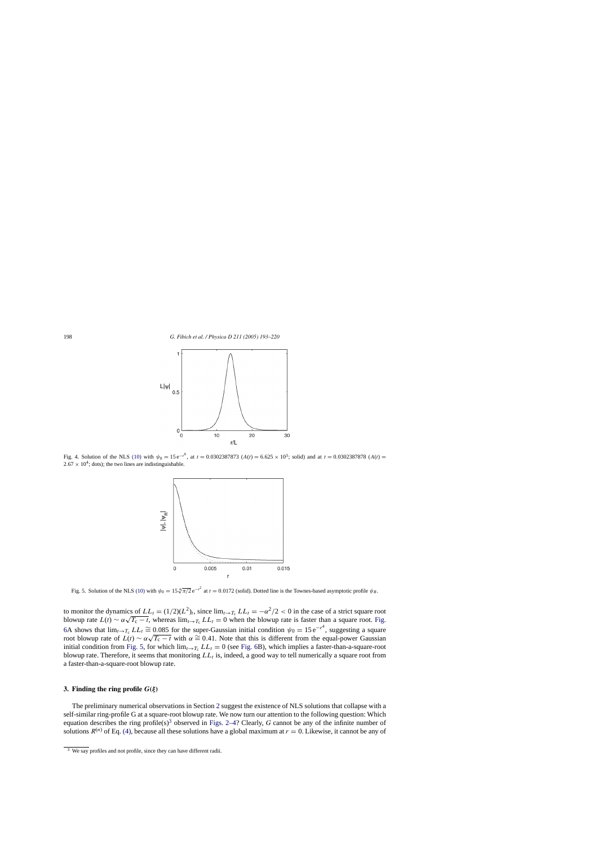<span id="page-5-0"></span>

Fig. 4. Solution of the NLS [\(10\)](#page-3-0) with  $\psi_0 = 15 e^{-r^8}$ , at  $t = 0.0302387873$  ( $A(t) = 6.625 \times 10^3$ ; solid) and at  $t = 0.0302387878$  ( $A(t) =$  $2.67 \times 10^4$ ; dots); the two lines are indistinguishable.



Fig. 5. Solution of the NLS [\(10\)](#page-3-0) with  $\psi_0 = 15 \sqrt[4]{\pi/2} e^{-r^2}$  at  $t = 0.0172$  (solid). Dotted line is the Townes-based asymptotic profile  $\psi_R$ .

to monitor the dynamics of  $LL_t = (1/2)(L^2)_t$ , since  $\lim_{t\to T_c} LL_t = -\alpha^2/2 < 0$  in the case of a strict square root blowup rate  $L(t) \sim \alpha \sqrt{T_c - t}$ , whereas  $\lim_{t \to T_c} LL_t = 0$  when the blowup rate is faster than a square root. [Fig.](#page-6-0) 6A shows that  $\lim_{t\to T_c} LL_t \cong 0.085$  for the super-Gaussian initial condition  $\psi_0 = 15 e^{-r^4}$ , suggesting a square  $\alpha$  shows that  $\lim_{t\to T_c} L_{tt} = 0.083$  for the super-Gaussian initial condition  $\psi_0 = 15e^{\pi/3}$ , suggesting a square root blowup rate of  $L(t) \sim \alpha \sqrt{T_c - t}$  with  $\alpha \approx 0.41$ . Note that this is different from the equal-po initial condition from Fig. 5, for which  $\lim_{t\to T_c} LL_t = 0$  (see [Fig. 6B](#page-6-0)), which implies a faster-than-a-square-root blowup rate. Therefore, it seems that monitoring  $LL<sub>t</sub>$  is, indeed, a good way to tell numerically a square root from a faster-than-a-square-root blowup rate.

#### **3. Finding the ring profile**  $G(\xi)$

The preliminary numerical observations in Section [2](#page-3-0) suggest the existence of NLS solutions that collapse with a self-similar ring-profile G at a square-root blowup rate. We now turn our attention to the following question: Which equation describes the ring profile(s)<sup>3</sup> observed in [Figs. 2–4?](#page-4-0) Clearly, *G* cannot be any of the infinite number of solutions  $R^{(n)}$  of Eq. [\(4\), b](#page-1-0)ecause all these solutions have a global maximum at  $r = 0$ . Likewise, it cannot be any of

 $\frac{3}{3}$  We say profiles and not profile, since they can have different radii.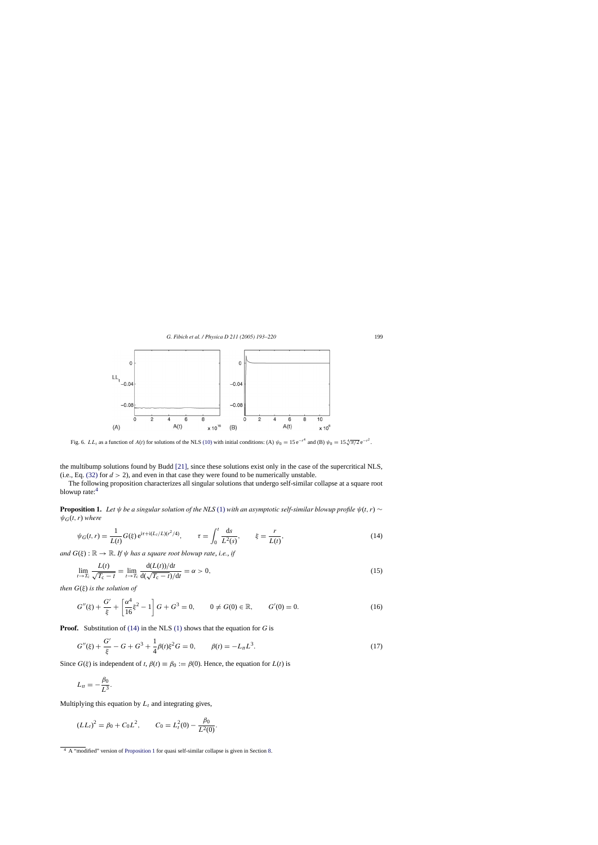<span id="page-6-0"></span>

Fig. 6. LL<sub>t</sub> as a function of  $A(t)$  for solutions of the NLS [\(10\)](#page-3-0) with initial conditions: (A)  $\psi_0 = 15 \text{ e}^{-r^4}$  and (B)  $\psi_0 = 15 \sqrt[4]{\pi/2} \text{ e}^{-r^2}$ .

the multibump solutions found by Budd [\[21\],](#page-26-0) since these solutions exist only in the case of the supercritical NLS, (i.e., Eq.  $(32)$  for  $d > 2$ ), and even in that case they were found to be numerically unstable.

The following proposition characterizes all singular solutions that undergo self-similar collapse at a square root blowup rate:<sup>4</sup>

**Proposition 1.** *Let*  $\psi$  *be a singular solution of the NLS* [\(1\)](#page-0-0) *with an asymptotic self-similar blowup profile*  $\psi(t, r)$  ∼  $\psi_G(t, r)$  where

$$
\psi_G(t,r) = \frac{1}{L(t)} G(\xi) e^{i\tau + i(L_t/L)(r^2/4)}, \qquad \tau = \int_0^t \frac{ds}{L^2(s)}, \qquad \xi = \frac{r}{L(t)},
$$
\n(14)

*and*  $G(\xi)$ :  $\mathbb{R} \to \mathbb{R}$ . If  $\psi$  has a square root blowup rate, i.e., if

$$
\lim_{t \to T_c} \frac{L(t)}{\sqrt{T_c - t}} = \lim_{t \to T_c} \frac{d(L(t))/dt}{d(\sqrt{T_c - t})/dt} = \alpha > 0,
$$
\n(15)

*then* G(ξ) *is the solution of*

$$
G''(\xi) + \frac{G'}{\xi} + \left[\frac{\alpha^4}{16}\xi^2 - 1\right]G + G^3 = 0, \qquad 0 \neq G(0) \in \mathbb{R}, \qquad G'(0) = 0.
$$
 (16)

**Proof.** Substitution of (14) in the NLS [\(1\)](#page-0-0) shows that the equation for *G* is

$$
G''(\xi) + \frac{G'}{\xi} - G + G^3 + \frac{1}{4}\beta(t)\xi^2 G = 0, \qquad \beta(t) = -L_{tt}L^3.
$$
\n(17)

Since  $G(\xi)$  is independent of *t*,  $\beta(t) \equiv \beta_0 := \beta(0)$ . Hence, the equation for  $L(t)$  is

$$
L_{tt}=-\frac{\beta_0}{L^3}.
$$

Multiplying this equation by  $L_t$  and integrating gives,

$$
(LLt)2 = \beta_0 + C_0 L2, \qquad C_0 = Lt2(0) - \frac{\beta_0}{L2(0)}.
$$

<sup>4</sup> A "modified" version of Proposition 1 for quasi self-similar collapse is given in Section [8.](#page-21-0)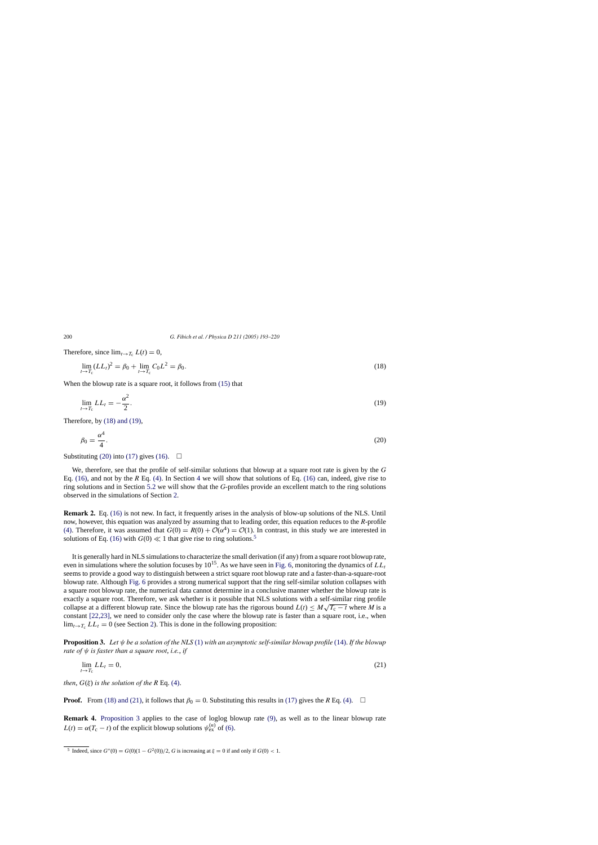Therefore, since  $\lim_{t\to T_c} L(t) = 0$ ,

$$
\lim_{t \to T_c} (LL_t)^2 = \beta_0 + \lim_{t \to T_c} C_0 L^2 = \beta_0.
$$
\n(18)

When the blowup rate is a square root, it follows from [\(15\)](#page-6-0) that

$$
\lim_{t \to T_c} LL_t = -\frac{\alpha^2}{2}.\tag{19}
$$

Therefore, by (18) and (19),

$$
\beta_0 = \frac{\alpha^4}{4}.\tag{20}
$$

Substituting (20) into [\(17\)](#page-6-0) gives [\(16\).](#page-6-0)  $\Box$ 

We, therefore, see that the profile of self-similar solutions that blowup at a square root rate is given by the *G* Eq. [\(16\),](#page-6-0) and not by the *R* Eq. [\(4\).](#page-1-0) In Section [4](#page-8-0) we will show that solutions of Eq. [\(16\)](#page-6-0) can, indeed, give rise to ring solutions and in Section [5.2](#page-13-0) we will show that the *G*-profiles provide an excellent match to the ring solutions observed in the simulations of Section [2.](#page-3-0)

**Remark 2.** Eq. [\(16\)](#page-6-0) is not new. In fact, it frequently arises in the analysis of blow-up solutions of the NLS. Until now, however, this equation was analyzed by assuming that to leading order, this equation reduces to the *R*-profile [\(4\).](#page-1-0) Therefore, it was assumed that  $G(0) = R(0) + \mathcal{O}(\alpha^4) = \mathcal{O}(1)$ . In contrast, in this study we are interested in solutions of Eq. [\(16\)](#page-6-0) with  $G(0) \ll 1$  that give rise to ring solutions.<sup>5</sup>

It is generally hard in NLS simulations to characterize the small derivation (if any) from a square root blowup rate, even in simulations where the solution focuses by  $10^{15}$ . As we have seen in [Fig. 6, m](#page-6-0)onitoring the dynamics of  $LL<sub>t</sub>$ seems to provide a good way to distinguish between a strict square root blowup rate and a faster-than-a-square-root blowup rate. Although [Fig. 6](#page-6-0) provides a strong numerical support that the ring self-similar solution collapses with a square root blowup rate, the numerical data cannot determine in a conclusive manner whether the blowup rate is exactly a square root. Therefore, we ask whether is it possible that NLS solutions with a self-similar ring profile collapse at a different blowup rate. Since the blowup rate has the rigorous bound  $L(t) \leq M\sqrt{T_{c}-t}$  where *M* is a constant [\[22,23\],](#page-26-0) we need to consider only the case where the blowup rate is faster than a square root, i.e., when  $\lim_{t\to T_c} LL_t = 0$  (see Section [2\).](#page-3-0) This is done in the following proposition:

**Proposition 3.** *Let* ψ *be a solution of the NLS* [\(1\)](#page-0-0) *with an asymptotic self*-*similar blowup profile* [\(14\).](#page-6-0) *If the blowup rate of* ψ *is faster than a square root*, *i.e.*, *if*

$$
\lim_{t \to T_c} LL_t = 0,\tag{21}
$$

*then,*  $G(\xi)$  *is the solution of the R* Eq. [\(4\).](#page-1-0)

**Proof.** From (18) and (21), it follows that  $\beta_0 = 0$ . Substituting this results in [\(17\)](#page-6-0) gives the *R* Eq. [\(4\).](#page-1-0)  $\Box$ 

**Remark 4.** Proposition 3 applies to the case of loglog blowup rate [\(9\),](#page-2-0) as well as to the linear blowup rate  $L(t) = \alpha(T_c - t)$  of the explicit blowup solutions  $\psi_{ex}^{(n)}$  of [\(6\).](#page-1-0)

<span id="page-7-0"></span>

<sup>&</sup>lt;sup>5</sup> Indeed, since  $G''(0) = G(0)(1 - G^2(0))/2$ , *G* is increasing at  $\xi = 0$  if and only if  $G(0) < 1$ .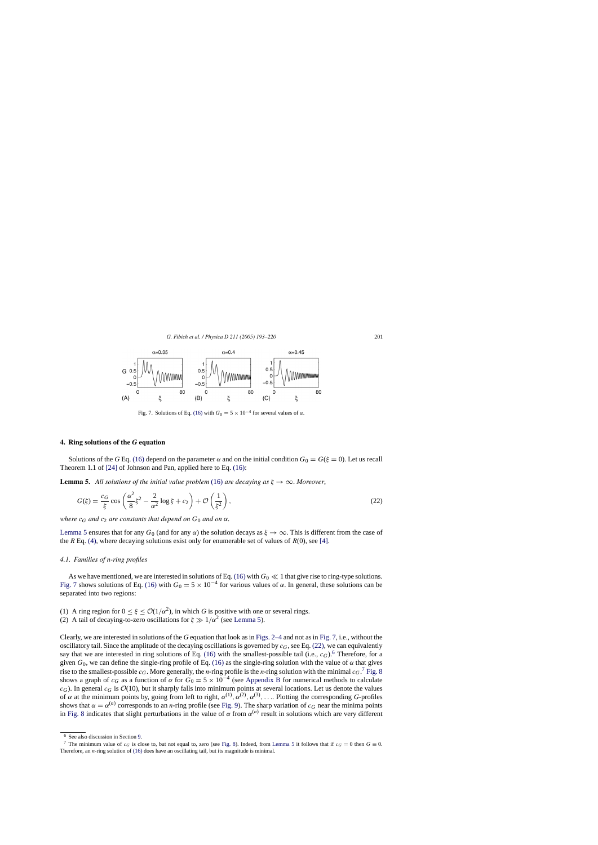<span id="page-8-0"></span>

Fig. 7. Solutions of Eq. [\(16\)](#page-6-0) with  $G_0 = 5 \times 10^{-4}$  for several values of  $\alpha$ .

# **4. Ring solutions of the** *G* **equation**

Solutions of the *G* Eq. [\(16\)](#page-6-0) depend on the parameter  $\alpha$  and on the initial condition  $G_0 = G(\xi = 0)$ . Let us recall Theorem 1.1 of [\[24\]](#page-26-0) of Johnson and Pan, applied here to Eq. [\(16\):](#page-6-0)

**Lemma 5.** All solutions of the initial value problem [\(16\)](#page-6-0) are decaying as  $\xi \to \infty$ . Moreover,

$$
G(\xi) = \frac{c_G}{\xi} \cos\left(\frac{\alpha^2}{8}\xi^2 - \frac{2}{\alpha^2}\log\xi + c_2\right) + \mathcal{O}\left(\frac{1}{\xi^2}\right),\tag{22}
$$

*where*  $c_G$  *and*  $c_2$  *are constants that depend on*  $G_0$  *and on*  $\alpha$ *.* 

Lemma 5 ensures that for any  $G_0$  (and for any  $\alpha$ ) the solution decays as  $\xi \to \infty$ . This is different from the case of the R Eq. [\(4\), w](#page-1-0)here decaying solutions exist only for enumerable set of values of  $R(0)$ , see [\[4\].](#page-26-0)

# *4.1. Families of n-ring profiles*

As we have mentioned, we are interested in solutions of Eq. [\(16\)](#page-6-0) with  $G_0 \ll 1$  that give rise to ring-type solutions. Fig. 7 shows solutions of Eq. [\(16\)](#page-6-0) with  $G_0 = 5 \times 10^{-4}$  for various values of  $\alpha$ . In general, these solutions can be separated into two regions:

- (1) A ring region for  $0 \le \xi \le \mathcal{O}(1/\alpha^2)$ , in which G is positive with one or several rings.
- (2) A tail of decaying-to-zero oscillations for  $\xi \gg 1/\alpha^2$  (see Lemma 5).

Clearly, we are interested in solutions of the *G* equation that look as in [Figs. 2–4](#page-4-0) and not as in Fig. 7, i.e., without the oscillatory tail. Since the amplitude of the decaying oscillations is governed by  $c_G$ , see Eq. (22), we can equivalently say that we are interested in ring solutions of Eq. [\(16\)](#page-6-0) with the smallest-possible tail (i.e.,  $c_G$ ).<sup>6</sup> Therefore, for a given  $G_0$ , we can define the single-ring profile of Eq. [\(16\)](#page-6-0) as the single-ring solution with the value of  $\alpha$  that gives rise to the smallest-possible  $c_G$ . More generally, the *n*-ring profile is the *n*-ring solution with the minimal  $c_G$ .<sup>7</sup> [Fig. 8](#page-9-0) shows a graph of  $c_G$  as a function of  $\alpha$  for  $G_0 = 5 \times 10^{-4}$  (see [Appendix B](#page-23-0) for numerical methods to calculate  $c_G$ ). In general  $c_G$  is  $\mathcal{O}(10)$ , but it sharply falls into minimum points at several locations. Let us denote the values of  $\alpha$  at the minimum points by, going from left to right,  $\alpha^{(1)}$ ,  $\alpha^{(2)}$ ,  $\alpha^{(3)}$ , .... Plotting the corresponding *G*-profiles shows that  $\alpha = \alpha^{(n)}$  corresponds to an *n*-ring profile (see [Fig. 9\).](#page-9-0) The sharp variation of  $c_G$  near the minima points in [Fig. 8](#page-9-0) indicates that slight perturbations in the value of  $\alpha$  from  $\alpha^{(n)}$  result in solutions which are very different

<sup>6</sup> See also discussion in Section [9.](#page-22-0)

<sup>&</sup>lt;sup>7</sup> The minimum value of  $c_G$  is close to, but not equal to, zero (see [Fig. 8\).](#page-9-0) Indeed, from Lemma 5 it follows that if  $c_G = 0$  then  $G \equiv 0$ . Therefore, an *n*-ring solution of [\(16\)](#page-6-0) does have an oscillating tail, but its magnitude is minimal.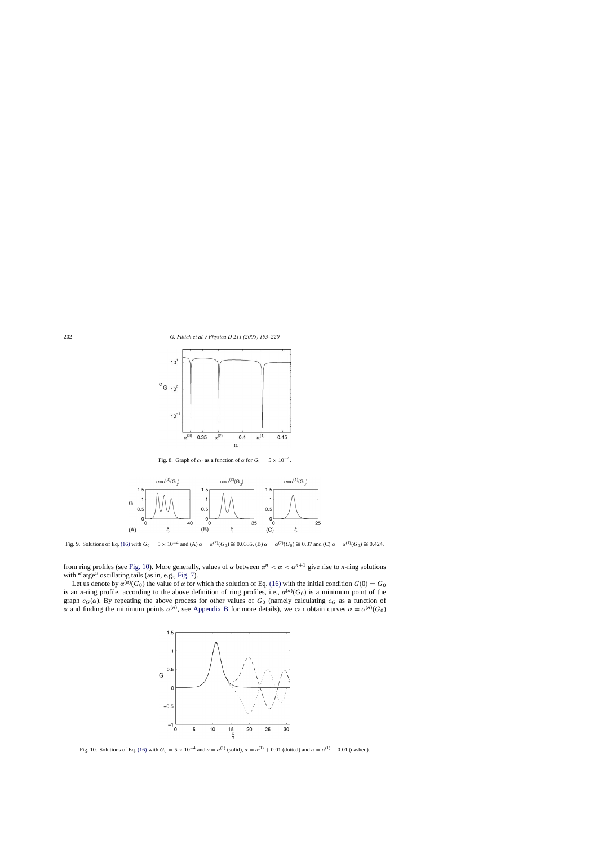<span id="page-9-0"></span>

Fig. 8. Graph of  $c_G$  as a function of  $\alpha$  for  $G_0 = 5 \times 10^{-4}$ .



Fig. 9. Solutions of Eq. [\(16\)](#page-6-0) with  $G_0 = 5 \times 10^{-4}$  and (A)  $\alpha = \alpha^{(3)}(G_0) \cong 0.0335$ , (B)  $\alpha = \alpha^{(2)}(G_0) \cong 0.37$  and (C)  $\alpha = \alpha^{(1)}(G_0) \cong 0.424$ .

from ring profiles (see Fig. 10). More generally, values of  $\alpha$  between  $\alpha^n < \alpha < \alpha^{n+1}$  give rise to *n*-ring solutions with "large" oscillating tails (as in, e.g., [Fig. 7\).](#page-8-0)

Let us denote by  $\alpha^{(n)}(G_0)$  the value of  $\alpha$  for which the solution of Eq. [\(16\)](#page-6-0) with the initial condition  $G(0) = G_0$ is an *n*-ring profile, according to the above definition of ring profiles, i.e.,  $\alpha^{(n)}(G_0)$  is a minimum point of the graph  $c_G(\alpha)$ . By repeating the above process for other values of  $G_0$  (namely calculating  $c_G$  as a function of  $\alpha$  and finding the minimum points  $\alpha^{(n)}$ , see [Appendix B](#page-23-0) for more details), we can obtain curves  $\alpha = \alpha^{(n)}(G_0)$ 



Fig. 10. Solutions of Eq. [\(16\)](#page-6-0) with  $G_0 = 5 \times 10^{-4}$  and  $a = \alpha^{(1)}$  (solid),  $\alpha = \alpha^{(1)} + 0.01$  (dotted) and  $\alpha = \alpha^{(1)} - 0.01$  (dashed).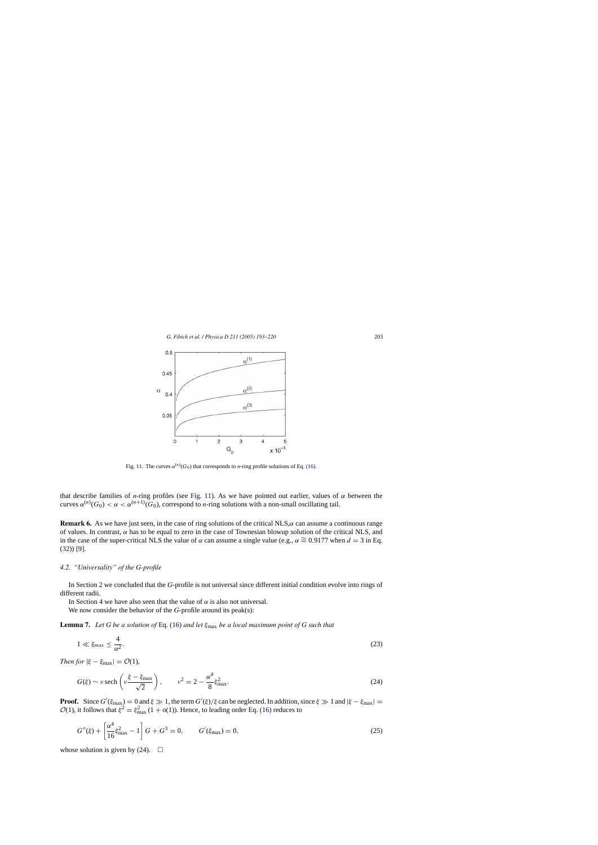<span id="page-10-0"></span>

Fig. 11. The curves  $\alpha^{(n)}(G_0)$  that corresponds to *n*-ring profile solutions of Eq. [\(16\).](#page-6-0)

that describe families of *n*-ring profiles (see Fig. 11). As we have pointed out earlier, values of  $\alpha$  between the curves  $\alpha^{(n)}(G_0) < \alpha < \alpha^{(n+1)}(G_0)$ , correspond to *n*-ring solutions with a non-small oscillating tail.

**Remark 6.** As we have just seen, in the case of ring solutions of the critical NLS, $\alpha$  can assume a continuous range of values. In contrast,  $\alpha$  has to be equal to zero in the case of Townesian blowup solution of the critical NLS, and in the case of the super-critical NLS the value of  $\alpha$  can assume a single value (e.g.,  $\alpha \cong 0.9177$  when  $d = 3$  in Eq. [\(32\)\)](#page-20-0) [\[9\].](#page-26-0)

#### *4.2. "Universality" of the G-profile*

In Section [2](#page-3-0) we concluded that the *G*-profile is not universal since different initial condition evolve into rings of different radii.

In Section [4](#page-8-0) we have also seen that the value of  $\alpha$  is also not universal.

We now consider the behavior of the *G*-profile around its peak(s):

**Lemma 7.** *Let G be a solution of* Eq. [\(16\)](#page-6-0) *and let* ξmax *be a local maximum point of G such that*

$$
1 \ll \xi_{max} \le \frac{4}{\alpha^2}.\tag{23}
$$

*Then for*  $|\xi - \xi_{\text{max}}| = \mathcal{O}(1)$ ,

$$
G(\xi) \sim \nu \operatorname{sech}\left(\nu \frac{\xi - \xi_{\max}}{\sqrt{2}}\right), \qquad \nu^2 = 2 - \frac{\alpha^4}{8} \xi_{\max}^2. \tag{24}
$$

**Proof.** Since  $G'(\xi_{\text{max}}) = 0$  and  $\xi \gg 1$ , the term  $G'(\xi)/\xi$  can be neglected. In addition, since  $\xi \gg 1$  and  $|\xi - \xi_{\text{max}}| =$  $\mathcal{O}(1)$ , it follows that  $\xi^2 = \xi_{\text{max}}^2 (1 + o(1))$ . Hence, to leading order Eq. [\(16\)](#page-6-0) reduces to

$$
G''(\xi) + \left[\frac{\alpha^4}{16}\xi_{\text{max}}^2 - 1\right]G + G^3 = 0, \qquad G'(\xi_{\text{max}}) = 0,
$$
\n(25)

whose solution is given by (24).  $\Box$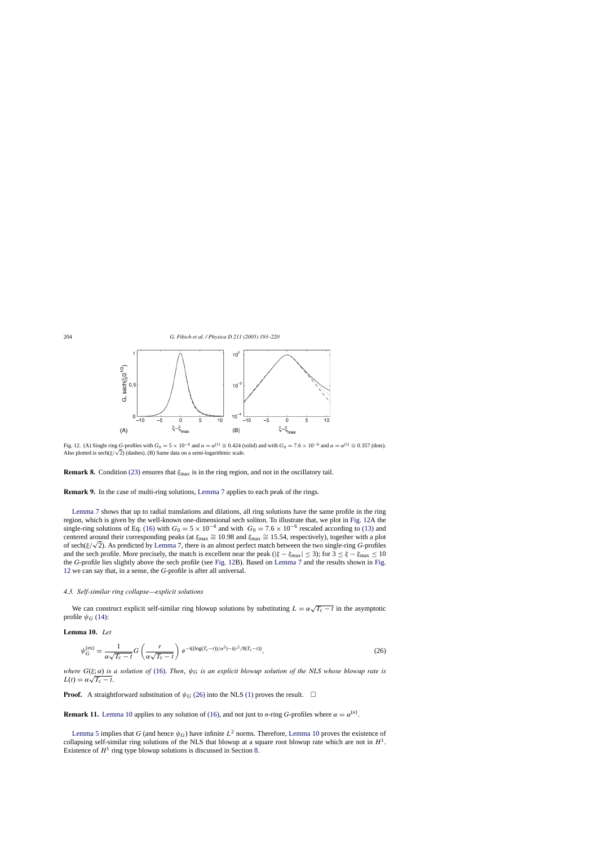<span id="page-11-0"></span>

Fig. 12. (A) Single ring *G*-profiles with  $G_0 = 5 \times 10^{-4}$  and  $\alpha = \alpha^{(1)} \cong 0.424$  (solid) and with  $G_0 = 7.6 \times 10^{-6}$  and  $\alpha = \alpha^{(1)} \cong 0.357$  (dots). Fig. 12. (A) single ring G-profiles with  $G_0 = 5 \times 10^{-3}$  and  $\alpha = \alpha^{3/2} = 0.424$  (and  $\alpha = 0.424$  (b) have also plotted is sech( $\xi/\sqrt{2}$ ) (dashes). (B) Same data on a semi-logarithmic scale.

**Remark 8.** Condition [\(23\)](#page-10-0) ensures that  $\xi_{\text{max}}$  is in the ring region, and not in the oscillatory tail.

**Remark 9.** In the case of multi-ring solutions, [Lemma 7](#page-10-0) applies to each peak of the rings.

[Lemma 7](#page-10-0) shows that up to radial translations and dilations, all ring solutions have the same profile in the ring region, which is given by the well-known one-dimensional sech soliton. To illustrate that, we plot in Fig. 12A the single-ring solutions of Eq. [\(16\)](#page-6-0) with  $G_0 = 5 \times 10^{-4}$  and with  $G_0 = 7.6 \times 10^{-6}$  rescaled according to [\(13\)](#page-3-0) and centered around their corresponding peaks (at  $\xi_{\text{max}} \cong 10.98$  and  $\xi_{\text{max}} \cong 15.54$ , respectively), together with a plot of sech(ξ/√2). As predicted by [Lemma 7,](#page-10-0) there is an almost perfect match between the two single-ring *<sup>G</sup>*-profiles and the sech profile. More precisely, the match is excellent near the peak ( $|\xi - \xi_{\text{max}}| \le 3$ ); for  $3 \le \xi - \xi_{\text{max}} \le 10$ the *G*-profile lies slightly above the sech profile (see Fig. 12B). Based on [Lemma 7](#page-10-0) and the results shown in Fig. 12 we can say that, in a sense, the *G*-profile is after all universal.

# *4.3. Self-similar ring collapse—explicit solutions*

We can construct explicit self-similar ring blowup solutions by substituting  $L = \alpha \sqrt{T_c - t}$  in the asymptotic profile  $\psi$ <sup>G</sup> [\(14\):](#page-6-0)

#### **Lemma 10.** *Let*

$$
\psi_G^{(ex)} = \frac{1}{\alpha \sqrt{T_c - t}} G \left( \frac{r}{\alpha \sqrt{T_c - t}} \right) e^{-i((\log(T_c - t))/\alpha^2) - i(r^2/8(T_c - t))},\tag{26}
$$

*where* G(ξ; α) *is a solution of* [\(16\).](#page-6-0) *Then*, ψG *is an explicit blowup solution of the NLS whose blowup rate is* where  $G(\xi; \alpha)$  is  $L(t) = \alpha \sqrt{T_c - t}.$ 

**Proof.** A straightforward substitution of  $\psi_G$  (26) into the NLS [\(1\)](#page-0-0) proves the result.  $\Box$ 

**Remark 11.** Lemma 10 applies to any solution of [\(16\), a](#page-6-0)nd not just to *n*-ring *G*-profiles where  $\alpha = \alpha^{(n)}$ .

[Lemma 5](#page-8-0) implies that *G* (and hence  $\psi$ <sub>*G*</sub>) have infinite  $L^2$  norms. Therefore, Lemma 10 proves the existence of collapsing self-similar ring solutions of the NLS that blowup at a square root blowup rate which are not in  $H<sup>1</sup>$ . Existence of  $H^1$  ring type blowup solutions is discussed in Section [8.](#page-21-0)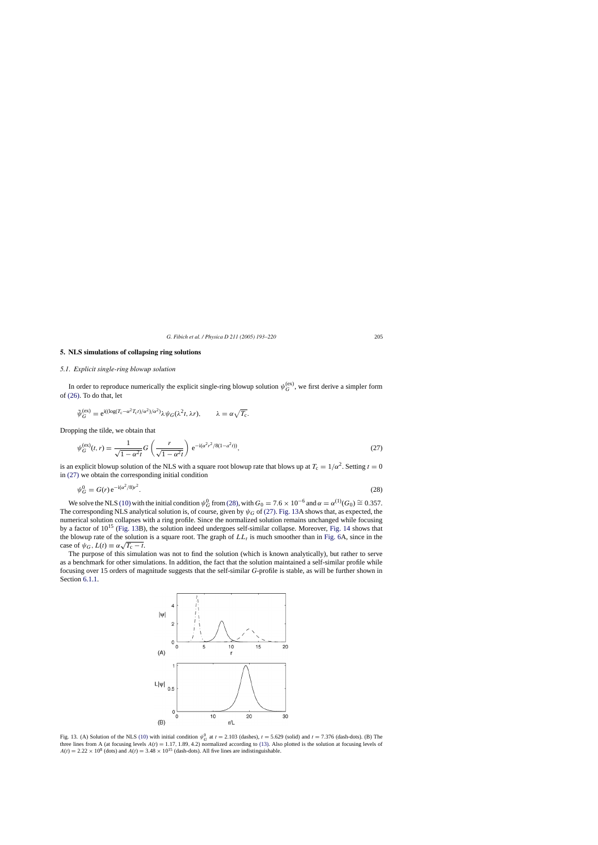#### <span id="page-12-0"></span>**5. NLS simulations of collapsing ring solutions**

#### *5.1. Explicit single-ring blowup solution*

In order to reproduce numerically the explicit single-ring blowup solution  $\psi_G^{(ex)}$ , we first derive a simpler form of [\(26\).](#page-11-0) To do that, let

$$
\tilde{\psi}_G^{(\text{ex})} = e^{i((\log(T_{\text{c}} - \alpha^2 T_{\text{c}} t)/\alpha^2)/\alpha^2)} \lambda \psi_G(\lambda^2 t, \lambda r), \qquad \lambda = \alpha \sqrt{T_{\text{c}}}.
$$

Dropping the tilde, we obtain that

$$
\psi_G^{(ex)}(t,r) = \frac{1}{\sqrt{1 - \alpha^2 t}} G\left(\frac{r}{\sqrt{1 - \alpha^2 t}}\right) e^{-i(\alpha^2 r^2 / 8(1 - \alpha^2 t))},\tag{27}
$$

is an explicit blowup solution of the NLS with a square root blowup rate that blows up at  $T_c = 1/\alpha^2$ . Setting  $t = 0$ in (27) we obtain the corresponding initial condition

$$
\psi_G^0 = G(r) e^{-i(\alpha^2/8)r^2}.
$$
\n(28)

We solve the NLS [\(10\)](#page-3-0) with the initial condition  $\psi_G^0$  from (28), with  $G_0 = 7.6 \times 10^{-6}$  and  $\alpha = \alpha^{(1)}(G_0) \cong 0.357$ . The corresponding NLS analytical solution is, of course, given by  $\psi_G$  of (27). Fig. 13A shows that, as expected, the numerical solution collapses with a ring profile. Since the normalized solution remains unchanged while focusing by a factor of 10<sup>15</sup> (Fig. 13B), the solution indeed undergoes self-similar collapse. Moreover, [Fig. 14](#page-13-0) shows that the blowup rate of the solution is a square root. The graph of  $LL<sub>t</sub>$  is much smoother than in [Fig. 6A](#page-6-0), since in the case of  $\psi_G$ ,  $L(t) \equiv \alpha \sqrt{T_c - t}$ .

The purpose of this simulation was not to find the solution (which is known analytically), but rather to serve as a benchmark for other simulations. In addition, the fact that the solution maintained a self-similar profile while focusing over 15 orders of magnitude suggests that the self-similar *G*-profile is stable, as will be further shown in Section [6.1.1.](#page-16-0)



Fig. 13. (A) Solution of the NLS [\(10\)](#page-3-0) with initial condition  $\psi_G^0$  at  $t = 2.103$  (dashes),  $t = 5.629$  (solid) and  $t = 7.376$  (dash-dots). (B) The three lines from A (at focusing levels  $A(t) = 1.17, 1.89, 4.2$ ) normalized according to [\(13\). A](#page-3-0)lso plotted is the solution at focusing levels of  $A(t) = 2.22 \times 10^8$  (dots) and  $A(t) = 3.48 \times 10^{15}$  (dash-dots). All five lines are indistinguishable.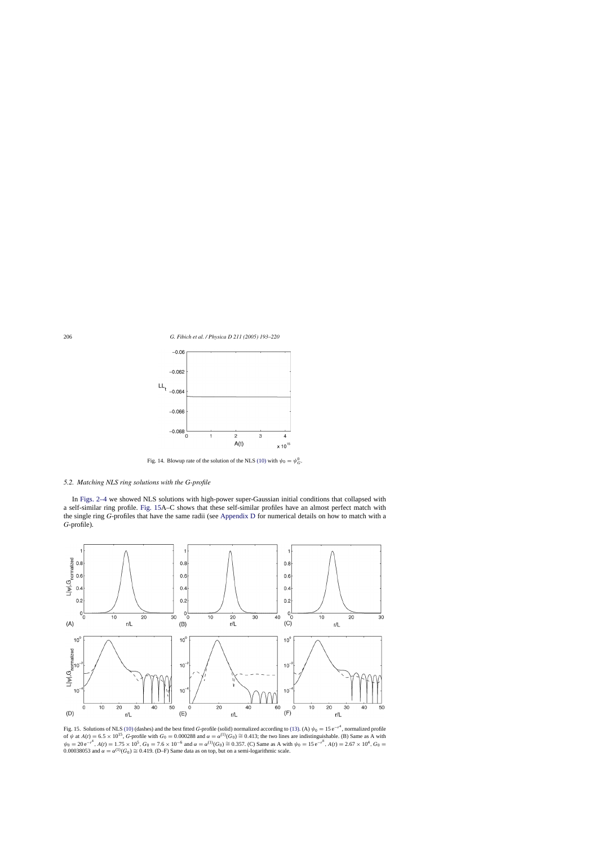<span id="page-13-0"></span>

Fig. 14. Blowup rate of the solution of the NLS [\(10\)](#page-3-0) with  $\psi_0 = \psi_G^0$ .

# *5.2. Matching NLS ring solutions with the G-profile*

In [Figs. 2–4](#page-4-0) we showed NLS solutions with high-power super-Gaussian initial conditions that collapsed with a self-similar ring profile. Fig. 15A–C shows that these self-similar profiles have an almost perfect match with the single ring *G*-profiles that have the same radii (see [Appendix D](#page-24-0) for numerical details on how to match with a *G*-profile).



Fig. 15. Solutions of NLS [\(10\)](#page-3-0) (dashes) and the best fitted *G*-profile (solid) normalized according to [\(13\). \(](#page-3-0)A)  $\psi_0 = 15 e^{-r^4}$ , normalized profile of  $\psi$  at  $A(t) = 6.5 \times 10^{15}$ , *G*-profile with  $G_0 = 0.000288$  and  $\psi_0 = 20 e^{-r^4}$ ,  $A(t) = 1.75 \times 10^5$ ,  $G_0 = 7.6 \times 10^{-6}$  and  $\alpha = \alpha^{(1)}(G_0) \cong 0.357$ . (C) Same as A with  $\psi_0 = 15 e^{-r^8}$ ,  $A(t) = 2.67 \times 10^4$ ,  $G_0 = 15 e^{-r^8}$ 0.00038053 and  $\alpha = \alpha^{(1)}(G_0) \cong 0.419$ . (D–F) Same data as on top, but on a semi-logarithmic scale.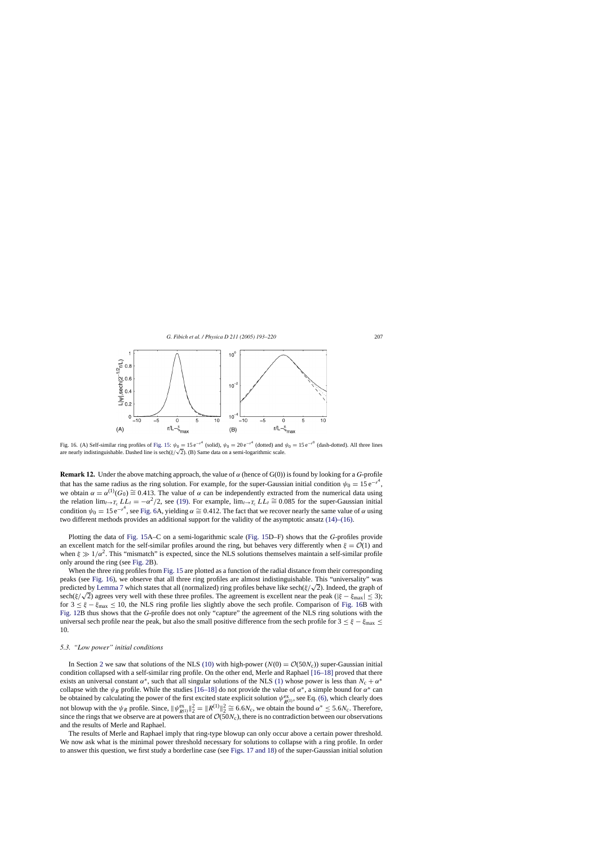<span id="page-14-0"></span>

Fig. 16. (A) Self-similar ring profiles of [Fig. 15:](#page-13-0)  $\psi_0 = 15 e^{-r^4}$  (solid),  $\psi_0 = 20 e^{-r^4}$  (dotted) and  $\psi_0 = 15 e^{-r^8}$  (dash-dotted). All three lines rig. 10. (A) Sen-similar ring profiles of rig. 15:  $\psi_0 = 15e$  (solid),  $\psi_0 = 20e$  (dotted) and a semi-logarithmic scale.

**Remark 12.** Under the above matching approach, the value of  $\alpha$  (hence of G(0)) is found by looking for a *G*-profile that has the same radius as the ring solution. For example, for the super-Gaussian initial condition  $\psi_0 = 15 e^{-r^4}$ , we obtain  $\alpha = \alpha^{(1)}(G_0) \cong 0.413$ . The value of  $\alpha$  can be independently extracted from the numerical data using the relation  $\lim_{t\to T_c} LL_t = -\alpha^2/2$ , see [\(19\).](#page-7-0) For example,  $\lim_{t\to T_c} LL_t \cong 0.085$  for the super-Gaussian initial condition  $\psi_0 = 15 e^{-r^4}$ , see [Fig. 6A](#page-6-0), yielding  $\alpha \cong 0.412$ . The fact that we recover nearly the same value of  $\alpha$  using two different methods provides an additional support for the validity of the asymptotic ansatz [\(14\)–\(16\).](#page-6-0)

Plotting the data of [Fig. 15A](#page-13-0)–C on a semi-logarithmic scale [\(Fig. 15D](#page-13-0)–F) shows that the *G*-profiles provide an excellent match for the self-similar profiles around the ring, but behaves very differently when  $\xi = \mathcal{O}(1)$  and when  $\xi \gg 1/\alpha^2$ . This "mismatch" is expected, since the NLS solutions themselves maintain a self-similar profile only around the ring (see [Fig. 2B](#page-4-0)).

When the three ring profiles from [Fig. 15](#page-13-0) are plotted as a function of the radial distance from their corresponding peaks (see Fig. 16), we observe that all three ring profiles are almost indistinguishable. This "universality" was predicted by [Lemma 7](#page-10-0) which states that all (normalized) ring profiles behave like sech( $\xi/\sqrt{2}$ ). Indeed, the graph of sech( $\xi/\sqrt{2}$ ) agrees very well with these three profiles. The agreement is excellent near the peak ( $|\xi - \xi_{\text{max}}| \leq 3$ ); for  $3 \leq \xi - \xi_{\text{max}} \leq 10$ , the NLS ring profile lies slightly above the sech profile. Comparison of Fig. 16B with [Fig. 12B](#page-11-0) thus shows that the *G*-profile does not only "capture" the agreement of the NLS ring solutions with the universal sech profile near the peak, but also the small positive difference from the sech profile for  $3 \leq \xi - \xi_{\text{max}} \leq$ 10.

#### *5.3. "Low power" initial conditions*

In Section [2](#page-3-0) we saw that solutions of the NLS [\(10\)](#page-3-0) with high-power ( $N(0) = \mathcal{O}(50N_c)$ ) super-Gaussian initial condition collapsed with a self-similar ring profile. On the other end, Merle and Raphael [\[16–18\]](#page-26-0) proved that there exists an universal constant  $\alpha^*$ , such that all singular solutions of the NLS [\(1\)](#page-0-0) whose power is less than  $N_c + \alpha^*$ collapse with the  $\psi_R$  profile. While the studies [\[16–18\]](#page-26-0) do not provide the value of  $\alpha^*$ , a simple bound for  $\alpha^*$  can be obtained by calculating the power of the first excited state explicit solution  $\psi_{R^{(1)}}^{ex}$ , see Eq. [\(6\), w](#page-1-0)hich clearly does not blowup with the  $\psi_R$  profile. Since,  $\|\psi_{R(1)}^{\text{ex}}\|_2^2 = \|R^{(1)}\|_2^2 \cong 6.6N_c$ , we obtain the bound  $\alpha^* \le 5.6N_c$ . Therefore, since the rings that we observe are at powers that are of  $\mathcal{O}(50N_c)$ , there is no contradiction between our observations and the results of Merle and Raphael.

The results of Merle and Raphael imply that ring-type blowup can only occur above a certain power threshold. We now ask what is the minimal power threshold necessary for solutions to collapse with a ring profile. In order to answer this question, we first study a borderline case (see [Figs. 17 and 18\)](#page-15-0) of the super-Gaussian initial solution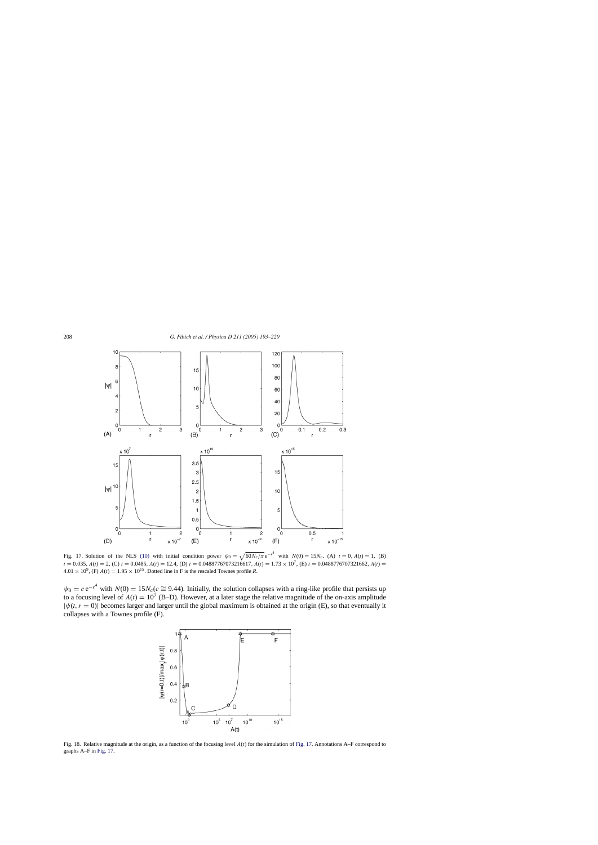<span id="page-15-0"></span>

Fig. 17. Solution of the NLS [\(10\)](#page-3-0) with initial condition power  $\psi_0 = \sqrt{60N_c/\pi} e^{-r^4}$  with  $N(0) = 15N_c$ . (A)  $t = 0$ ,  $A(t) = 1$ , (B)  $t = 0.035$ ,  $A(t) = 2$ , (C)  $t = 0.0485$ ,  $A(t) = 12.4$ , (D)  $t = 0.04887767073216617$ ,  $A(t) = 1.73 \times 10^7$ , (E)  $t = 0.0488776707321662$ ,  $A(t) = 0.0488776707321662$  $4.01 \times 10^9$ , (F)  $A(t) = 1.95 \times 10^{15}$ . Dotted line in F is the rescaled Townes profile *R*.

 $\psi_0 = c e^{-r^4}$  with  $N(0) = 15N_c(c \approx 9.44)$ . Initially, the solution collapses with a ring-like profile that persists up to a focusing level of  $A(t) = 10^7$  (B–D). However, at a later stage the relative magnitude of the on-axis amplitude  $|\psi(t, r = 0)|$  becomes larger and larger until the global maximum is obtained at the origin (E), so that eventually it collapses with a Townes profile (F).



Fig. 18. Relative magnitude at the origin, as a function of the focusing level  $A(t)$  for the simulation of Fig. 17. Annotations A–F correspond to graphs A–F in Fig. 17.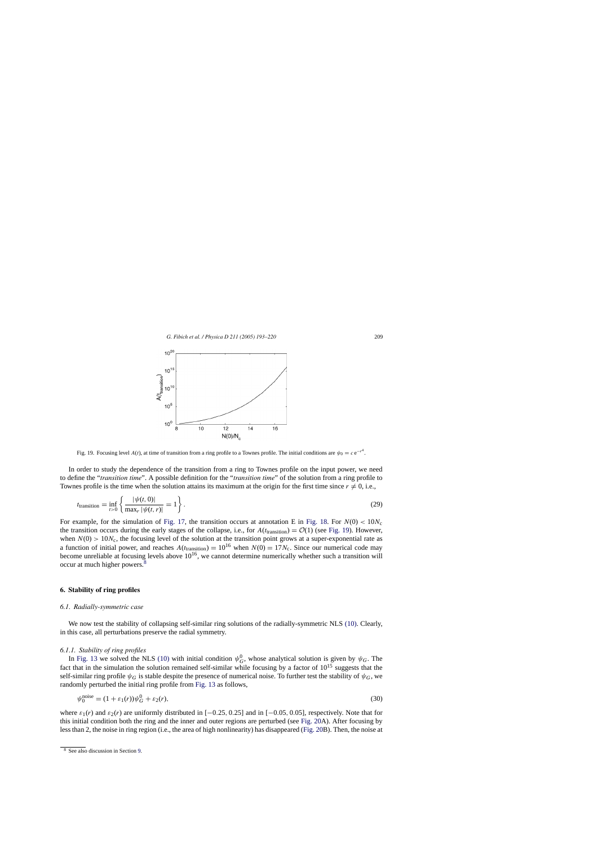<span id="page-16-0"></span>

Fig. 19. Focusing level  $A(t)$ , at time of transition from a ring profile to a Townes profile. The initial conditions are  $\psi_0 = c e^{-r^4}$ .

In order to study the dependence of the transition from a ring to Townes profile on the input power, we need to define the "*transition time*". A possible definition for the "*transition time*" of the solution from a ring profile to Townes profile is the time when the solution attains its maximum at the origin for the first time since  $r \neq 0$ , i.e.,

$$
t_{\text{transition}} = \inf_{t>0} \left\{ \frac{|\psi(t,0)|}{\max_{r} |\psi(t,r)|} = 1 \right\}.
$$
 (29)

For example, for the simulation of [Fig. 17,](#page-15-0) the transition occurs at annotation E in [Fig. 18.](#page-15-0) For  $N(0) < 10N_c$ the transition occurs during the early stages of the collapse, i.e., for  $A(t_{\text{transition}}) = \mathcal{O}(1)$  (see Fig. 19). However, when  $N(0) > 10N_c$ , the focusing level of the solution at the transition point grows at a super-exponential rate as a function of initial power, and reaches  $A(t_{\text{transition}}) = 10^{16}$  when  $N(0) = 17N_c$ . Since our numerical code may become unreliable at focusing levels above  $10^{16}$ , we cannot determine numerically whether such a transition will occur at much higher powers.8

#### **6. Stability of ring profiles**

#### *6.1. Radially-symmetric case*

We now test the stability of collapsing self-similar ring solutions of the radially-symmetric NLS [\(10\).](#page-3-0) Clearly, in this case, all perturbations preserve the radial symmetry.

#### *6.1.1. Stability of ring profiles*

In [Fig. 13](#page-12-0) we solved the NLS [\(10\)](#page-3-0) with initial condition  $\psi_G^0$ , whose analytical solution is given by  $\psi_G$ . The fact that in the simulation the solution remained self-similar while focusing by a factor of  $10^{15}$  suggests that the self-similar ring profile  $\psi_G$  is stable despite the presence of numerical noise. To further test the stability of  $\psi_G$ , we randomly perturbed the initial ring profile from [Fig. 13](#page-12-0) as follows,

$$
\psi_0^{\text{noise}} = (1 + \varepsilon_1(r))\psi_G^0 + \varepsilon_2(r),\tag{30}
$$

where  $\varepsilon_1(r)$  and  $\varepsilon_2(r)$  are uniformly distributed in  $[-0.25, 0.25]$  and in  $[-0.05, 0.05]$ , respectively. Note that for this initial condition both the ring and the inner and outer regions are perturbed (see [Fig. 20A](#page-17-0)). After focusing by less than 2, the noise in ring region (i.e., the area of high nonlinearity) has disappeared [\(Fig. 20B](#page-17-0)). Then, the noise at

<sup>8</sup> See also discussion in Section [9.](#page-22-0)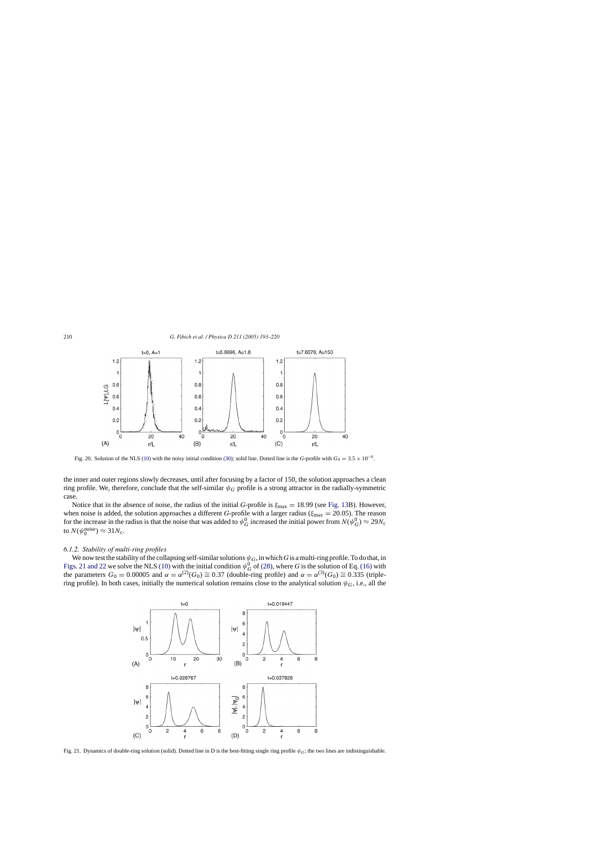<span id="page-17-0"></span>

Fig. 20. Solution of the NLS [\(10\)](#page-3-0) with the noisy initial condition [\(30\); s](#page-16-0)olid line. Dotted line is the *G*-profile with  $G_0 = 3.5 \times 10^{-6}$ .

the inner and outer regions slowly decreases, until after focusing by a factor of 150, the solution approaches a clean ring profile. We, therefore, conclude that the self-similar  $\psi_G$  profile is a strong attractor in the radially-symmetric case.

Notice that in the absence of noise, the radius of the initial *G*-profile is  $\xi_{\text{max}} = 18.99$  (see [Fig. 13B](#page-12-0)). However, when noise is added, the solution approaches a different *G*-profile with a larger radius ( $\xi_{\text{max}} = 20.05$ ). The reason for the increase in the radius is that the noise that was added to  $\psi_G^0$  increased the initial power from  $N(\psi_G^0) \approx 29N_c$ to  $N(\psi_0^{\text{noise}}) \approx 31 N_c$ .

#### *6.1.2. Stability of multi-ring profiles*

We now test the stability of the collapsing self-similar solutions  $\psi_G$ , in which *G* is a multi-ring profile. To do that, in Figs. 21 and 22 we solve the NLS [\(10\)](#page-3-0) with the initial condition  $\psi_G^0$  of [\(28\), w](#page-12-0)here *G* is the solution of Eq. [\(16\)](#page-6-0) with the parameters  $G_0 = 0.00005$  and  $\alpha = \alpha^{(2)}(G_0) \cong 0.37$  (double-ring profile) and  $\alpha = \alpha^{(3)}(G_0) \cong 0.335$  (triplering profile). In both cases, initially the numerical solution remains close to the analytical solution  $\psi_G$ , i.e., all the



Fig. 21. Dynamics of double-ring solution (solid). Dotted line in D is the best-fitting single ring profile  $\psi_G$ ; the two lines are indistinguishable.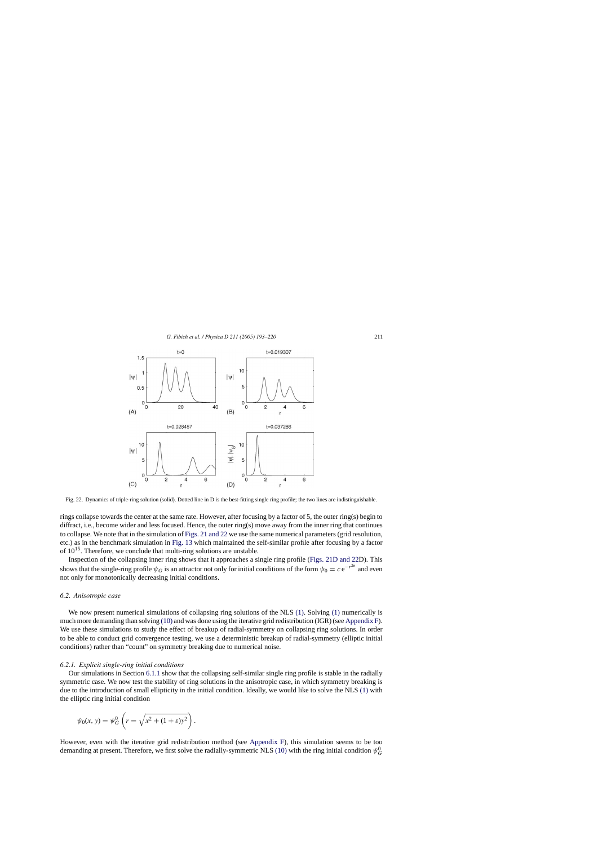

Fig. 22. Dynamics of triple-ring solution (solid). Dotted line in D is the best-fitting single ring profile; the two lines are indistinguishable.

rings collapse towards the center at the same rate. However, after focusing by a factor of 5, the outer ring(s) begin to diffract, i.e., become wider and less focused. Hence, the outer ring(s) move away from the inner ring that continues to collapse. We note that in the simulation of [Figs. 21 and 22](#page-17-0) we use the same numerical parameters (grid resolution, etc.) as in the benchmark simulation in [Fig. 13](#page-12-0) which maintained the self-similar profile after focusing by a factor of  $10^{15}$ . Therefore, we conclude that multi-ring solutions are unstable.

Inspection of the collapsing inner ring shows that it approaches a single ring profile ([Figs. 21D and 22D](#page-17-0)). This shows that the single-ring profile  $\psi_G$  is an attractor not only for initial conditions of the form  $\psi_0 = c e^{-r^{2n}}$  and even not only for monotonically decreasing initial conditions.

#### *6.2. Anisotropic case*

We now present numerical simulations of collapsing ring solutions of the NLS [\(1\).](#page-0-0) Solving [\(1\)](#page-0-0) numerically is much more demanding than solving [\(10\)](#page-3-0) and was done using the iterative grid redistribution (IGR) (see [Appendix F\).](#page-25-0) We use these simulations to study the effect of breakup of radial-symmetry on collapsing ring solutions. In order to be able to conduct grid convergence testing, we use a deterministic breakup of radial-symmetry (elliptic initial conditions) rather than "count" on symmetry breaking due to numerical noise.

#### *6.2.1. Explicit single-ring initial conditions*

Our simulations in Section [6.1.1](#page-16-0) show that the collapsing self-similar single ring profile is stable in the radially symmetric case. We now test the stability of ring solutions in the anisotropic case, in which symmetry breaking is due to the introduction of small ellipticity in the initial condition. Ideally, we would like to solve the NLS [\(1\)](#page-0-0) with the elliptic ring initial condition

$$
\psi_0(x, y) = \psi_G^0 \left( r = \sqrt{x^2 + (1 + \varepsilon)y^2} \right).
$$

However, even with the iterative grid redistribution method (see [Appendix F\),](#page-25-0) this simulation seems to be too demanding at present. Therefore, we first solve the radially-symmetric NLS [\(10\)](#page-3-0) with the ring initial condition  $\psi_G^0$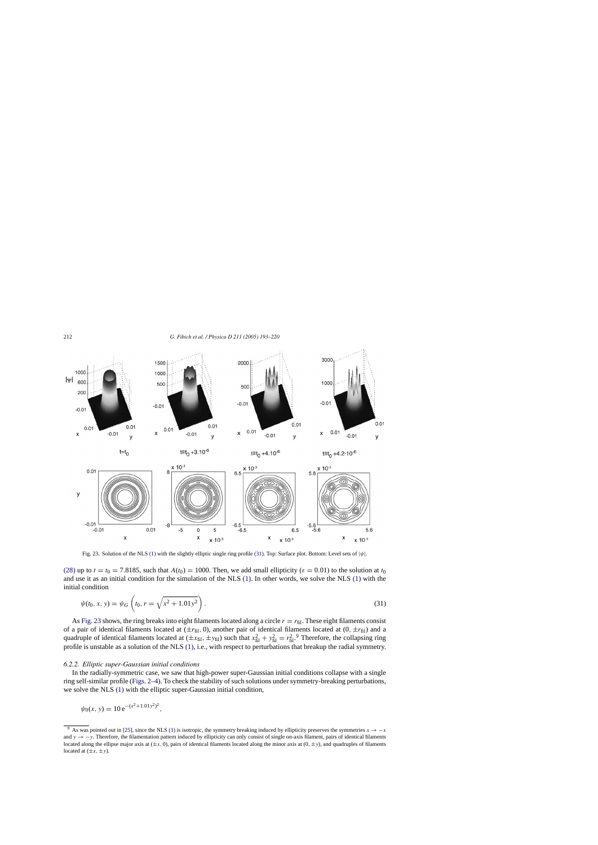<span id="page-19-0"></span>

Fig. 23. Solution of the NLS [\(1\)](#page-0-0) with the slightly elliptic single ring profile (31). Top: Surface plot. Bottom: Level sets of  $|\psi|$ .

[\(28\)](#page-12-0) up to  $t = t_0 = 7.8185$ , such that  $A(t_0) = 1000$ . Then, we add small ellipticity ( $\varepsilon = 0.01$ ) to the solution at  $t_0$ and use it as an initial condition for the simulation of the NLS [\(1\). I](#page-0-0)n other words, we solve the NLS [\(1\)](#page-0-0) with the initial condition

$$
\psi(t_0, x, y) = \psi_G\left(t_0, r = \sqrt{x^2 + 1.01y^2}\right).
$$
\n(31)

As Fig. 23 shows, the ring breaks into eight filaments located along a circle  $r = r_{\text{fil}}$ . These eight filaments consist of a pair of identical filaments located at  $(\pm r_{\text{fil}}, 0)$ , another pair of identical filaments located at  $(0, \pm r_{\text{fil}})$  and a quadruple of identical filaments located at  $(\pm x_{\text{fil}}, \pm y_{\text{fil}})$  such that  $x_{\text{fil}}^2 + y_{\text{fil}}^2 = r_{\text{fil}}^2$ . Therefore, the collapsing ring profile is unstable as a solution of the NLS [\(1\), i](#page-0-0).e., with respect to perturbations that breakup the radial symmetry.

#### *6.2.2. Elliptic super-Gaussian initial conditions*

In the radially-symmetric case, we saw that high-power super-Gaussian initial conditions collapse with a single ring self-similar profile [\(Figs. 2–4\).](#page-4-0) To check the stability of such solutions under symmetry-breaking perturbations, we solve the NLS [\(1\)](#page-0-0) with the elliptic super-Gaussian initial condition,

$$
\psi_0(x, y) = 10 e^{-(x^2 + 1.01y^2)^2},
$$

<sup>&</sup>lt;sup>9</sup> As was pointed out in [\[25\], s](#page-26-0)ince the NLS [\(1\)](#page-0-0) is isotropic, the symmetry breaking induced by ellipticity preserves the symmetries  $x \rightarrow -x$ and  $y \rightarrow -y$ . Therefore, the filamentation pattern induced by ellipticity can only consist of single on-axis filament, pairs of identical filaments located along the ellipse major axis at  $(\pm x, 0)$ , pairs of identical filaments located along the minor axis at  $(0, \pm y)$ , and quadruples of filaments located at  $(\pm x, \pm y)$ .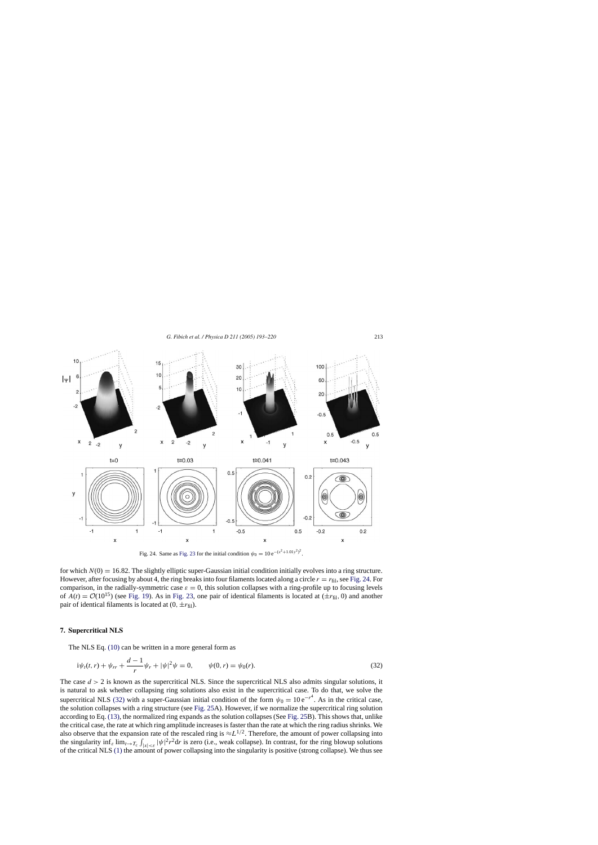*G. Fibich et al. / Physica D 211 (2005) 193–220* 213

<span id="page-20-0"></span>

Fig. 24. Same as [Fig. 23](#page-19-0) for the initial condition  $\psi_0 = 10 e^{-(x^2 + 1.01y^2)^2}$ .

for which  $N(0) = 16.82$ . The slightly elliptic super-Gaussian initial condition initially evolves into a ring structure. However, after focusing by about 4, the ring breaks into four filaments located along a circle  $r = r_{\text{fil}}$ , see Fig. 24. For comparison, in the radially-symmetric case  $\varepsilon = 0$ , this solution collapses with a ring-profile up to focusing levels of  $A(t) = \mathcal{O}(10^{15})$  (see [Fig. 19\).](#page-16-0) As in [Fig. 23,](#page-19-0) one pair of identical filaments is located at  $(\pm r_{\text{fil}}, 0)$  and another pair of identical filaments is located at  $(0, \pm r_{\text{fil}})$ .

#### **7. Supercritical NLS**

The NLS Eq. [\(10\)](#page-3-0) can be written in a more general form as

$$
i\psi_t(t,r) + \psi_{rr} + \frac{d-1}{r}\psi_r + |\psi|^2\psi = 0, \qquad \psi(0,r) = \psi_0(r). \tag{32}
$$

The case  $d > 2$  is known as the supercritical NLS. Since the supercritical NLS also admits singular solutions, it is natural to ask whether collapsing ring solutions also exist in the supercritical case. To do that, we solve the supercritical NLS (32) with a super-Gaussian initial condition of the form  $\psi_0 = 10 e^{-r^4}$ . As in the critical case, the solution collapses with a ring structure (see [Fig. 25A](#page-21-0)). However, if we normalize the supercritical ring solution according to Eq. [\(13\),](#page-3-0) the normalized ring expands as the solution collapses (See [Fig. 25B](#page-21-0)). This shows that, unlike the critical case, the rate at which ring amplitude increases is faster than the rate at which the ring radius shrinks. We also observe that the expansion rate of the rescaled ring is  $\approx L^{1/2}$ . Therefore, the amount of power collapsing into the singularity inf<sub>ε</sub> lim<sub>t→Tc</sub>  $\int_{|x|<\epsilon} |\psi|^2 r^2 dr$  is zero (i.e., weak collapse). In contrast, for the ring blowup solutions of the critical NLS [\(1\)](#page-0-0) the amount of power collapsing into the singularity is positive (strong collapse). We thus see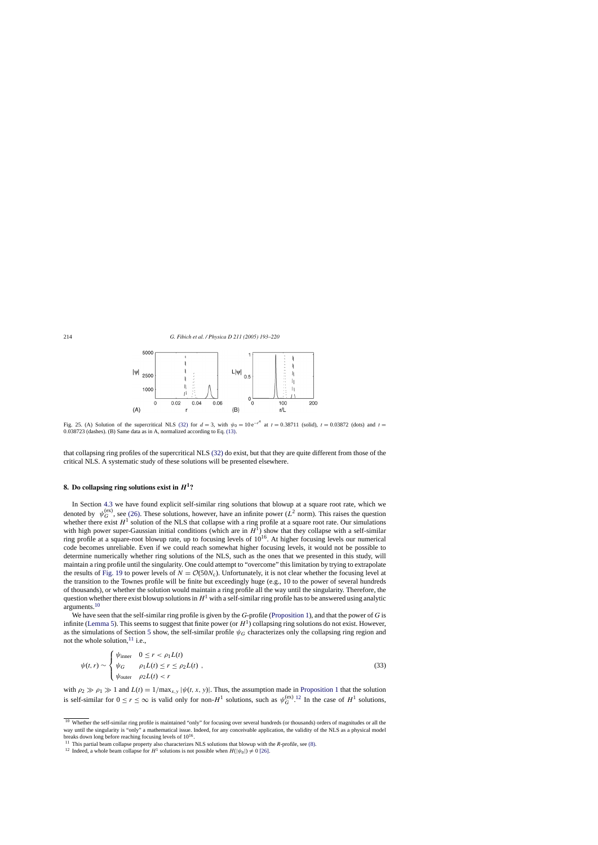<span id="page-21-0"></span>

Fig. 25. (A) Solution of the supercritical NLS [\(32\)](#page-20-0) for  $d = 3$ , with  $\psi_0 = 10 e^{-r^4}$  at  $t = 0.38711$  (solid),  $t = 0.03872$  (dots) and  $t =$ 0.038723 (dashes). (B) Same data as in A, normalized according to Eq. [\(13\).](#page-3-0)

that collapsing ring profiles of the supercritical NLS [\(32\)](#page-20-0) do exist, but that they are quite different from those of the critical NLS. A systematic study of these solutions will be presented elsewhere.

# **8. Do collapsing ring solutions exist in** *H***1?**

In Section [4.3](#page-11-0) we have found explicit self-similar ring solutions that blowup at a square root rate, which we denoted by  $\psi_G^{(ex)}$ , see [\(26\).](#page-11-0) These solutions, however, have an infinite power ( $L^2$  norm). This raises the question whether there exist  $H^1$  solution of the NLS that collapse with a ring profile at a square root rate. Our simulations with high power super-Gaussian initial conditions (which are in  $H<sup>1</sup>$ ) show that they collapse with a self-similar ring profile at a square-root blowup rate, up to focusing levels of  $10^{16}$ . At higher focusing levels our numerical code becomes unreliable. Even if we could reach somewhat higher focusing levels, it would not be possible to determine numerically whether ring solutions of the NLS, such as the ones that we presented in this study, will maintain a ring profile until the singularity. One could attempt to "overcome" this limitation by trying to extrapolate the results of [Fig. 19](#page-16-0) to power levels of  $N = \mathcal{O}(50N_c)$ . Unfortunately, it is not clear whether the focusing level at the transition to the Townes profile will be finite but exceedingly huge (e.g., 10 to the power of several hundreds of thousands), or whether the solution would maintain a ring profile all the way until the singularity. Therefore, the question whether there exist blowup solutions in  $H<sup>1</sup>$  with a self-similar ring profile has to be answered using analytic arguments.10

We have seen that the self-similar ring profile is given by the *G*-profile [\(Proposition 1\),](#page-6-0) and that the power of *G* is infinite [\(Lemma 5\).](#page-8-0) This seems to suggest that finite power (or  $H<sup>1</sup>$ ) collapsing ring solutions do not exist. However, as the simulations of Section [5](#page-12-0) show, the self-similar profile  $\psi_G$  characterizes only the collapsing ring region and not the whole solution,  $^{11}$  i.e.,

$$
\psi(t,r) \sim \begin{cases} \psi_{\text{inner}} & 0 \le r < \rho_1 L(t) \\ \psi_G & \rho_1 L(t) \le r \le \rho_2 L(t) \\ \psi_{\text{outer}} & \rho_2 L(t) < r \end{cases}
$$
\n(33)

with  $\rho_2 \gg \rho_1 \gg 1$  and  $L(t) = 1/\max_{x,y} |\psi(t, x, y)|$ . Thus, the assumption made in [Proposition 1](#page-6-0) that the solution is self-similar for  $0 \le r \le \infty$  is valid only for non- $H^1$  solutions, such as  $\psi_G^{(\text{ex})}$ .<sup>12</sup> In the case of  $H^1$  solutions,

<sup>&</sup>lt;sup>10</sup> Whether the self-similar ring profile is maintained "only" for focusing over several hundreds (or thousands) orders of magnitudes or all the way until the singularity is "only" a mathematical issue. Indeed, for any conceivable application, the validity of the NLS as a physical model breaks down long before reaching focusing levels of  $10^{16}$ .

<sup>11</sup> This partial beam collapse property also characterizes NLS solutions that blowup with the *R*-profile, see [\(8\).](#page-2-0)

<sup>&</sup>lt;sup>12</sup> Indeed, a whole beam collapse for  $H^1$  solutions is not possible when  $H(|\psi_0|) \neq 0$  [\[26\].](#page-26-0)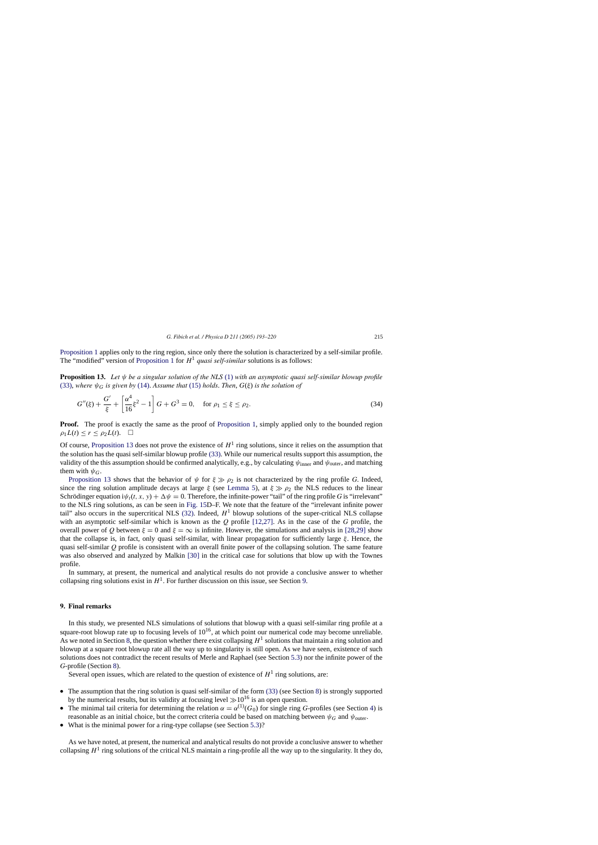<span id="page-22-0"></span>[Proposition 1](#page-6-0) applies only to the ring region, since only there the solution is characterized by a self-similar profile. The "modified" version of [Proposition 1](#page-6-0) for  $H^1$  *quasi self-similar* solutions is as follows:

**Proposition 13.** *Let* ψ *be a singular solution of the NLS* [\(1\)](#page-0-0) *with an asymptotic quasi self-similar blowup profile* [\(33\),](#page-21-0) where  $\psi_G$  *is given by* [\(14\).](#page-6-0) Assume that [\(15\)](#page-6-0) holds. Then,  $G(\xi)$  *is the solution of* 

$$
G''(\xi) + \frac{G'}{\xi} + \left[\frac{\alpha^4}{16}\xi^2 - 1\right]G + G^3 = 0, \quad \text{for } \rho_1 \le \xi \le \rho_2.
$$
 (34)

**Proof.** The proof is exactly the same as the proof of [Proposition 1,](#page-6-0) simply applied only to the bounded region  $\rho_1L(t) \leq r \leq \rho_2L(t)$ .

Of course, Proposition 13 does not prove the existence of  $H<sup>1</sup>$  ring solutions, since it relies on the assumption that the solution has the quasi self-similar blowup profile [\(33\). W](#page-21-0)hile our numerical results support this assumption, the validity of the this assumption should be confirmed analytically, e.g., by calculating  $\psi_{\text{inner}}$  and  $\psi_{\text{outer}}$ , and matching them with  $\psi_G$ .

Proposition 13 shows that the behavior of  $\psi$  for  $\xi \gg \rho_2$  is not characterized by the ring profile *G*. Indeed, since the ring solution amplitude decays at large  $\xi$  (see [Lemma 5\)](#page-8-0), at  $\xi \gg \rho_2$  the NLS reduces to the linear Schrödinger equation  $i\psi_t(t, x, y) + \Delta \psi = 0$ . Therefore, the infinite-power "tail" of the ring profile *G* is "irrelevant" to the NLS ring solutions, as can be seen in [Fig. 15D](#page-13-0)–F. We note that the feature of the "irrelevant infinite power tail" also occurs in the supercritical NLS [\(32\).](#page-20-0) Indeed,  $H<sup>1</sup>$  blowup solutions of the super-critical NLS collapse with an asymptotic self-similar which is known as the *Q* profile [\[12,27\].](#page-26-0) As in the case of the *G* profile, the overall power of *Q* between  $\xi = 0$  and  $\xi = \infty$  is infinite. However, the simulations and analysis in [\[28,29\]](#page-26-0) show that the collapse is, in fact, only quasi self-similar, with linear propagation for sufficiently large  $\xi$ . Hence, the quasi self-similar *Q* profile is consistent with an overall finite power of the collapsing solution. The same feature was also observed and analyzed by Malkin [\[30\]](#page-26-0) in the critical case for solutions that blow up with the Townes profile.

In summary, at present, the numerical and analytical results do not provide a conclusive answer to whether collapsing ring solutions exist in  $H<sup>1</sup>$ . For further discussion on this issue, see Section 9.

# **9. Final remarks**

In this study, we presented NLS simulations of solutions that blowup with a quasi self-similar ring profile at a square-root blowup rate up to focusing levels of  $10^{16}$ , at which point our numerical code may become unreliable. As we noted in Section [8, t](#page-21-0)he question whether there exist collapsing  $H<sup>1</sup>$  solutions that maintain a ring solution and blowup at a square root blowup rate all the way up to singularity is still open. As we have seen, existence of such solutions does not contradict the recent results of Merle and Raphael (see Section [5.3\)](#page-14-0) nor the infinite power of the *G*-profile (Section [8\).](#page-21-0)

Several open issues, which are related to the question of existence of  $H<sup>1</sup>$  ring solutions, are:

- The assumption that the ring solution is quasi self-similar of the form [\(33\)](#page-21-0) (see Section [8\)](#page-21-0) is strongly supported by the numerical results, but its validity at focusing level  $\gg 10^{16}$  is an open question.
- The minimal tail criteria for determining the relation  $\alpha = \alpha^{(1)}(G_0)$  for single ring *G*-profiles (see Section [4\)](#page-8-0) is reasonable as an initial choice, but the correct criteria could be based on matching between  $\psi_G$  and  $\psi_{\text{outer}}$ .
- What is the minimal power for a ring-type collapse (see Section [5.3\)?](#page-14-0)

As we have noted, at present, the numerical and analytical results do not provide a conclusive answer to whether collapsing  $H^1$  ring solutions of the critical NLS maintain a ring-profile all the way up to the singularity. It they do,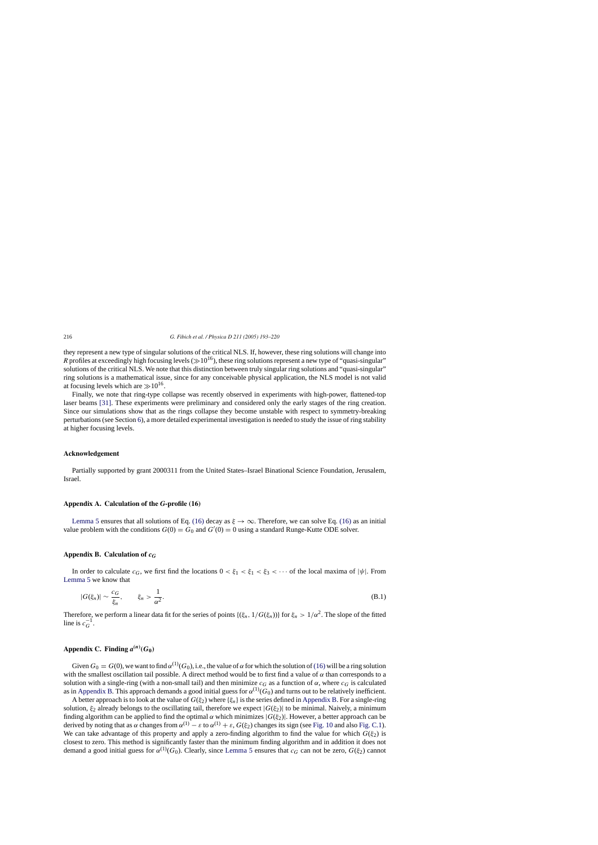they represent a new type of singular solutions of the critical NLS. If, however, these ring solutions will change into *R* profiles at exceedingly high focusing levels ( $\gg 10^{16}$ ), these ring solutions represent a new type of "quasi-singular" solutions of the critical NLS. We note that this distinction between truly singular ring solutions and "quasi-singular" ring solutions is a mathematical issue, since for any conceivable physical application, the NLS model is not valid at focusing levels which are  $\gg 10^{16}$ .

Finally, we note that ring-type collapse was recently observed in experiments with high-power, flattened-top laser beams [\[31\].](#page-26-0) These experiments were preliminary and considered only the early stages of the ring creation. Since our simulations show that as the rings collapse they become unstable with respect to symmetry-breaking perturbations (see Section [6\),](#page-16-0) a more detailed experimental investigation is needed to study the issue of ring stability at higher focusing levels.

## **Acknowledgement**

Partially supported by grant 2000311 from the United States–Israel Binational Science Foundation, Jerusalem, Israel.

## **Appendix A. Calculation of the** *G***-profile (16)**

[Lemma 5](#page-8-0) ensures that all solutions of Eq. [\(16\)](#page-6-0) decay as  $\xi \to \infty$ . Therefore, we can solve Eq. (16) as an initial value problem with the conditions  $G(0) = G_0$  and  $G'(0) = 0$  using a standard Runge-Kutte ODE solver.

#### **Appendix B. Calculation of** *cG*

In order to calculate  $c_G$ , we first find the locations  $0 < \xi_1 < \xi_1 < \xi_3 < \cdots$  of the local maxima of  $|\psi|$ . From [Lemma 5](#page-8-0) we know that

$$
|G(\xi_n)| \sim \frac{c_G}{\xi_n}, \qquad \xi_n > \frac{1}{\alpha^2}.
$$
 (B.1)

Therefore, we perform a linear data fit for the series of points  $\{\xi_n, 1/G(\xi_n)\}\$  for  $\xi_n > 1/\alpha^2$ . The slope of the fitted line is  $c_G^{-1}$ .

# Appendix C. Finding  $a^{(n)}(G_0)$

Given  $G_0 = G(0)$ , we want to find  $\alpha^{(1)}(G_0)$ , i.e., the value of  $\alpha$  for which the solution of [\(16\)](#page-6-0) will be a ring solution with the smallest oscillation tail possible. A direct method would be to first find a value of  $\alpha$  than corresponds to a solution with a single-ring (with a non-small tail) and then minimize  $c_G$  as a function of  $\alpha$ , where  $c_G$  is calculated as in Appendix B. This approach demands a good initial guess for  $\alpha^{(1)}(G_0)$  and turns out to be relatively inefficient.

A better approach is to look at the value of  $G(\xi_2)$  where  $\{\xi_n\}$  is the series defined in Appendix B. For a single-ring solution,  $\xi_2$  already belongs to the oscillating tail, therefore we expect  $|G(\xi_2)|$  to be minimal. Naively, a minimum finding algorithm can be applied to find the optimal  $\alpha$  which minimizes  $|G(\xi_2)|$ . However, a better approach can be derived by noting that as  $\alpha$  changes from  $\alpha^{(1)} - \varepsilon$  to  $\alpha^{(1)} + \varepsilon$ ,  $G(\xi_2)$  changes its sign (see [Fig. 10](#page-9-0) and also [Fig. C.1\).](#page-24-0) We can take advantage of this property and apply a zero-finding algorithm to find the value for which  $G(\xi_2)$  is closest to zero. This method is significantly faster than the minimum finding algorithm and in addition it does not demand a good initial guess for  $\alpha^{(1)}(G_0)$ . Clearly, since [Lemma 5](#page-8-0) ensures that  $c_G$  can not be zero,  $G(\xi_2)$  cannot

<span id="page-23-0"></span>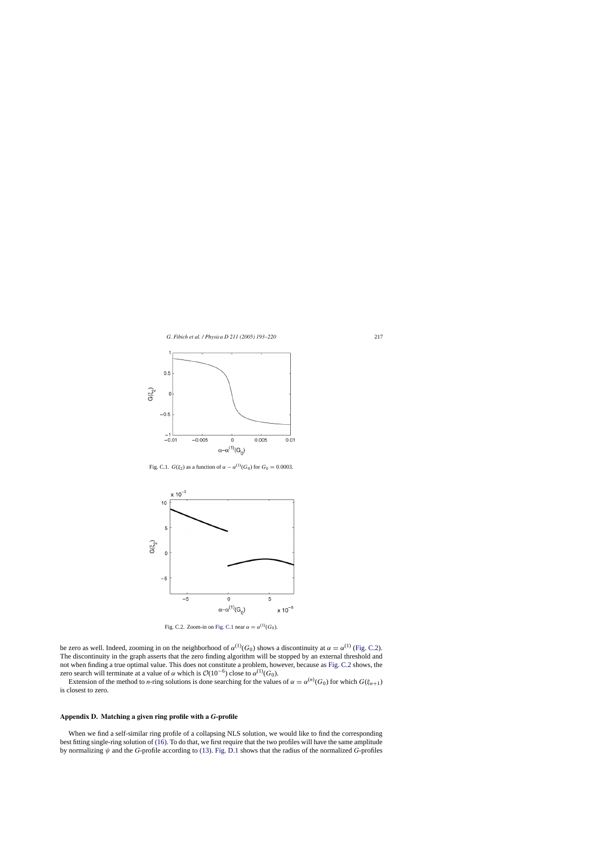<span id="page-24-0"></span>

Fig. C.1.  $G(\xi_2)$  as a function of  $\alpha - \alpha^{(1)}(G_0)$  for  $G_0 = 0.0003$ .



Fig. C.2. Zoom-in on Fig. C.1 near  $\alpha = \alpha^{(1)}(G_0)$ .

be zero as well. Indeed, zooming in on the neighborhood of  $\alpha^{(1)}(G_0)$  shows a discontinuity at  $\alpha = \alpha^{(1)}$  (Fig. C.2). The discontinuity in the graph asserts that the zero finding algorithm will be stopped by an external threshold and not when finding a true optimal value. This does not constitute a problem, however, because as Fig. C.2 shows, the zero search will terminate at a value of  $\alpha$  which is  $\mathcal{O}(10^{-6})$  close to  $\alpha^{(1)}(G_0)$ .

Extension of the method to *n*-ring solutions is done searching for the values of  $\alpha = \alpha^{(n)}(G_0)$  for which  $G(\xi_{n+1})$ is closest to zero.

#### **Appendix D. Matching a given ring profile with a** *G***-profile**

When we find a self-similar ring profile of a collapsing NLS solution, we would like to find the corresponding best fitting single-ring solution of [\(16\). T](#page-6-0)o do that, we first require that the two profiles will have the same amplitude by normalizing ψ and the *G*-profile according to [\(13\).](#page-3-0) [Fig. D.1](#page-25-0) shows that the radius of the normalized *G*-profiles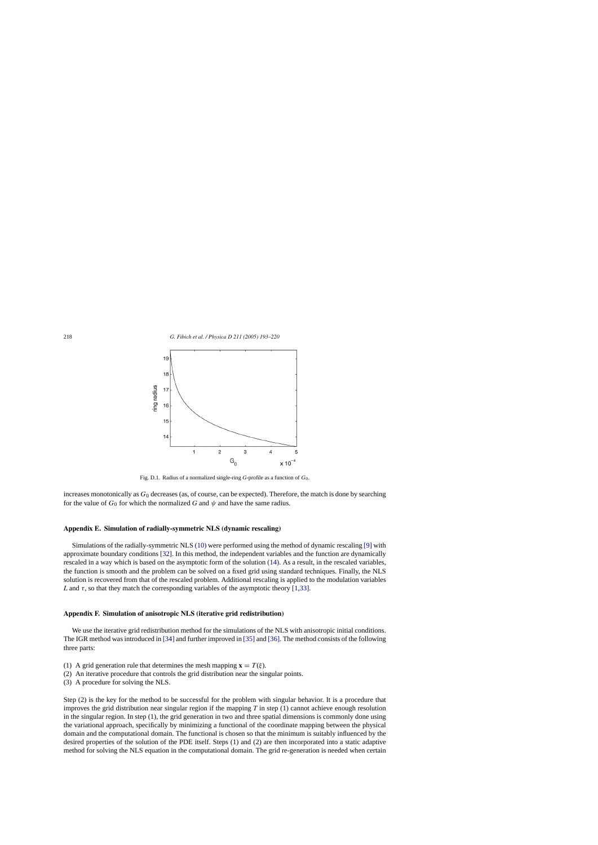<span id="page-25-0"></span>

Fig. D.1. Radius of a normalized single-ring *G*-profile as a function of  $G_0$ .

increases monotonically as  $G_0$  decreases (as, of course, can be expected). Therefore, the match is done by searching for the value of  $G_0$  for which the normalized G and  $\psi$  and have the same radius.

# **Appendix E. Simulation of radially-symmetric NLS (dynamic rescaling)**

Simulations of the radially-symmetric NLS [\(10\)](#page-3-0) were performed using the method of dynamic rescaling [\[9\]](#page-26-0) with approximate boundary conditions [\[32\].](#page-26-0) In this method, the independent variables and the function are dynamically rescaled in a way which is based on the asymptotic form of the solution [\(14\).](#page-6-0) As a result, in the rescaled variables, the function is smooth and the problem can be solved on a fixed grid using standard techniques. Finally, the NLS solution is recovered from that of the rescaled problem. Additional rescaling is applied to the modulation variables *L* and  $\tau$ , so that they match the corresponding variables of the asymptotic theory [\[1,33\].](#page-26-0)

#### **Appendix F. Simulation of anisotropic NLS (iterative grid redistribution)**

We use the iterative grid redistribution method for the simulations of the NLS with anisotropic initial conditions. The IGR method was introduced in [\[34\]](#page-27-0) [a](#page-27-0)nd further improved in [\[35\]](#page-27-0) and [\[36\]. T](#page-27-0)he method consists of the following three parts:

- (1) A grid generation rule that determines the mesh mapping  $\mathbf{x} = T(\xi)$ .
- (2) An iterative procedure that controls the grid distribution near the singular points.
- (3) A procedure for solving the NLS.

Step (2) is the key for the method to be successful for the problem with singular behavior. It is a procedure that improves the grid distribution near singular region if the mapping *T* in step (1) cannot achieve enough resolution in the singular region. In step (1), the grid generation in two and three spatial dimensions is commonly done using the variational approach, specifically by minimizing a functional of the coordinate mapping between the physical domain and the computational domain. The functional is chosen so that the minimum is suitably influenced by the desired properties of the solution of the PDE itself. Steps (1) and (2) are then incorporated into a static adaptive method for solving the NLS equation in the computational domain. The grid re-generation is needed when certain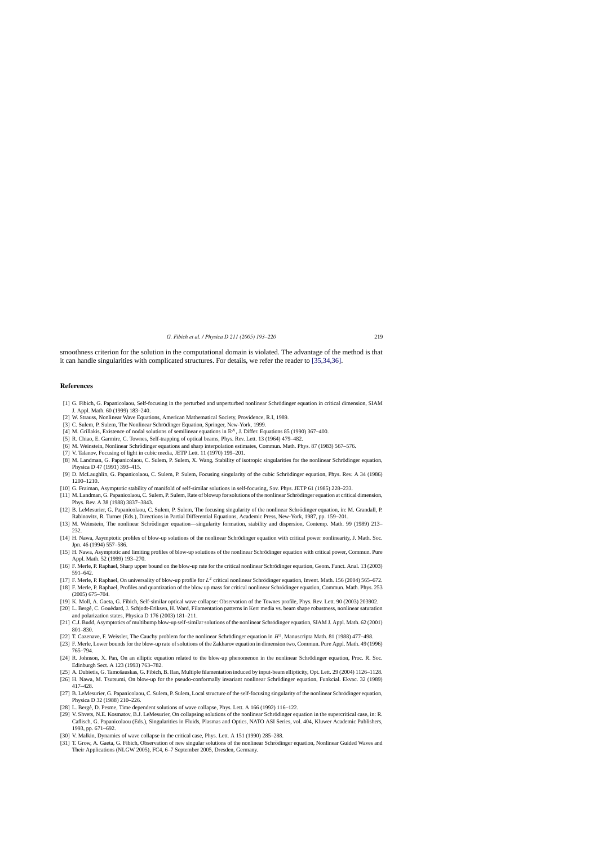<span id="page-26-0"></span>smoothness criterion for the solution in the computational domain is violated. The advantage of the method is that it can handle singularities with complicated structures. For details, we refer the reader to [\[35,34,36\].](#page-27-0)

## **References**

- [1] G. Fibich, G. Papanicolaou, Self-focusing in the perturbed and unperturbed nonlinear Schrödinger equation in critical dimension, SIAM J. Appl. Math. 60 (1999) 183–240.
- [2] W. Strauss, Nonlinear Wave Equations, American Mathematical Society, Providence, R.I, 1989.
- [3] C. Sulem, P. Sulem, The Nonlinear Schrödinger Equation, Springer, New-York, 1999.
- [4] M. Grillakis, Existence of nodal solutions of semilinear equations in  $\mathbb{R}^N$ , J. Differ. Equations 85 (1990) 367–400.
- [5] R. Chiao, E. Garmire, C. Townes, Self-trapping of optical beams, Phys. Rev. Lett. 13 (1964) 479–482.
- [6] M. Weinstein, Nonlinear Schrodinger equations and sharp interpolation estimates, Commun. Math. Phys. 87 (1983) 567–576. ¨
- [7] V. Talanov, Focusing of light in cubic media, JETP Lett. 11 (1970) 199–201.
- [8] M. Landman, G. Papanicolaou, C. Sulem, P. Sulem, X. Wang, Stability of isotropic singularities for the nonlinear Schrödinger equation, Physica D 47 (1991) 393–415.
- [9] D. McLaughlin, G. Papanicolaou, C. Sulem, P. Sulem, Focusing singularity of the cubic Schrodinger equation, Phys. Rev. A 34 (1986) ¨ 1200–1210.
- [10] G. Fraiman, Asymptotic stability of manifold of self-similar solutions in self-focusing, Sov. Phys. JETP 61 (1985) 228–233.
- [11] M. Landman, G. Papanicolaou, C. Sulem, P. Sulem, Rate of blowup for solutions of the nonlinear Schrödinger equation at critical dimension, Phys. Rev. A 38 (1988) 3837–3843.
- [12] B. LeMesurier, G. Papanicolaou, C. Sulem, P. Sulem, The focusing singularity of the nonlinear Schrödinger equation, in: M. Grandall, P. Rabinovitz, R. Turner (Eds.), Directions in Partial Differential Equations, Academic Press, New-York, 1987, pp. 159–201.
- [13] M. Weinstein, The nonlinear Schrödinger equation—singularity formation, stability and dispersion, Contemp. Math. 99 (1989) 213– 232.
- [14] H. Nawa, Asymptotic profiles of blow-up solutions of the nonlinear Schrödinger equation with critical power nonlinearity, J. Math. Soc. Jpn. 46 (1994) 557–586.
- [15] H. Nawa, Asymptotic and limiting profiles of blow-up solutions of the nonlinear Schrödinger equation with critical power, Commun. Pure Appl. Math. 52 (1999) 193–270.
- [16] F. Merle, P. Raphael, Sharp upper bound on the blow-up rate for the critical nonlinear Schrödinger equation, Geom. Funct. Anal. 13 (2003) 591–642.
- [17] F. Merle, P. Raphael, On universality of blow-up profile for  $L^2$  critical nonlinear Schrödinger equation, Invent. Math. 156 (2004) 565–672.
- [18] F. Merle, P. Raphael, Profiles and quantization of the blow up mass for critical nonlinear Schrödinger equation, Commun. Math. Phys. 253 (2005) 675–704.
- [19] K. Moll, A. Gaeta, G. Fibich, Self-similar optical wave collapse: Observation of the Townes profile, Phys. Rev. Lett. 90 (2003) 203902.
- [20] L. Bergé, C. Gouédard, J. Schjodt-Eriksen, H. Ward, Filamentation patterns in Kerr media vs. beam shape robustness, nonlinear saturation and polarization states, Physica D 176 (2003) 181–211.
- [21] C.J. Budd, Asymptotics of multibump blow-up self-similar solutions of the nonlinear Schrodinger equation, SIAM J. Appl. Math. 62 (2001) ¨ 801–830.
- [22] T. Cazenave, F. Weissler, The Cauchy problem for the nonlinear Schrödinger equation in  $H<sup>1</sup>$ , Manuscripta Math. 81 (1988) 477-498.
- [23] F. Merle, Lower bounds for the blow-up rate of solutions of the Zakharov equation in dimension two, Commun. Pure Appl. Math. 49 (1996) 765–794.
- [24] R. Johnson, X. Pan, On an elliptic equation related to the blow-up phenomenon in the nonlinear Schrödinger equation, Proc. R. Soc. Edinburgh Sect. A 123 (1993) 763–782.
- [25] A. Dubietis, G. Tamošauskas, G. Fibich, B. Ilan, Multiple filamentation induced by input-beam ellipticity, Opt. Lett. 29 (2004) 1126–1128.
- [26] H. Nawa, M. Tsutsumi, On blow-up for the pseudo-conformally invariant nonlinear Schrödinger equation, Funkcial. Ekvac. 32 (1989) 417–428.
- [27] B. LeMesurier, G. Papanicolaou, C. Sulem, P. Sulem, Local structure of the self-focusing singularity of the nonlinear Schrödinger equation, Physica D 32 (1988) 210–226.
- [28] L. Berge, D. Pesme, Time dependent solutions of wave collapse, Phys. Lett. A 166 (1992) 116–122. ´
- [29] V. Shvets, N.E. Kosmatov, B.J. LeMesurier, On collapsing solutions of the nonlinear Schrödinger equation in the supercritical case, in: R. Caflisch, G. Papanicolaou (Eds.), Singularities in Fluids, Plasmas and Optics, NATO ASI Series, vol. 404, Kluwer Academic Publishers, 1993, pp. 671–692.
- [30] V. Malkin, Dynamics of wave collapse in the critical case, Phys. Lett. A 151 (1990) 285–288.
- [31] T. Grow, A. Gaeta, G. Fibich, Observation of new singular solutions of the nonlinear Schrödinger equation, Nonlinear Guided Waves and Their Applications (NLGW 2005), FC4, 6–7 September 2005, Dresden, Germany.